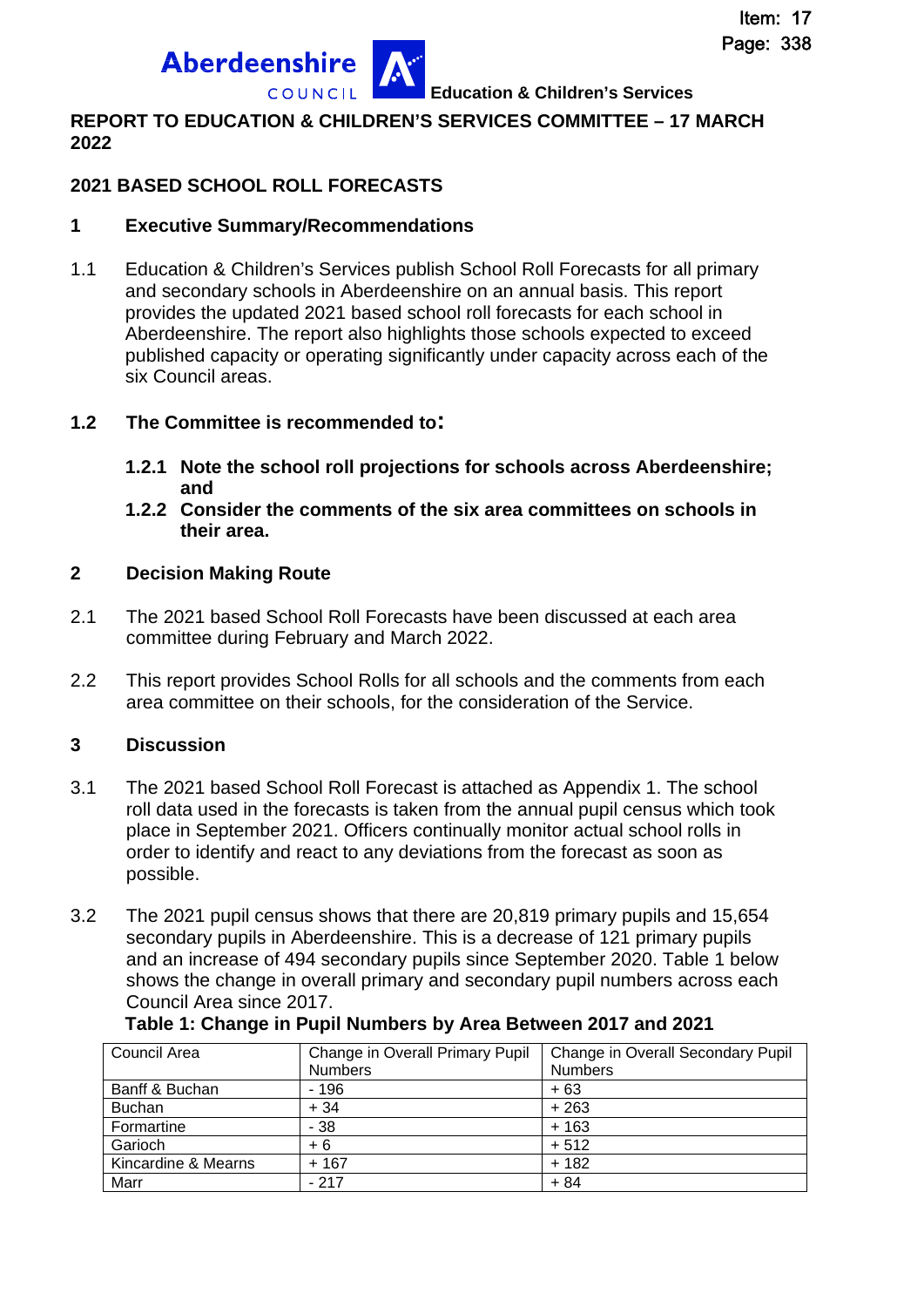**Education & Children's Services**

### **REPORT TO EDUCATION & CHILDREN'S SERVICES COMMITTEE – 17 MARCH 2022**

# **2021 BASED SCHOOL ROLL FORECASTS**

**Aberdeenshire** 

### **1 Executive Summary/Recommendations**

1.1 Education & Children's Services publish School Roll Forecasts for all primary and secondary schools in Aberdeenshire on an annual basis. This report provides the updated 2021 based school roll forecasts for each school in Aberdeenshire. The report also highlights those schools expected to exceed published capacity or operating significantly under capacity across each of the six Council areas.

### **1.2 The Committee is recommended to:**

- **1.2.1 Note the school roll projections for schools across Aberdeenshire; and**
- **1.2.2 Consider the comments of the six area committees on schools in their area.**

### **2 Decision Making Route**

- 2.1 The 2021 based School Roll Forecasts have been discussed at each area committee during February and March 2022.
- 2.2 This report provides School Rolls for all schools and the comments from each area committee on their schools, for the consideration of the Service.

# **3 Discussion**

- 3.1 The 2021 based School Roll Forecast is attached as Appendix 1. The school roll data used in the forecasts is taken from the annual pupil census which took place in September 2021. Officers continually monitor actual school rolls in order to identify and react to any deviations from the forecast as soon as possible.
- 3.2 The 2021 pupil census shows that there are 20,819 primary pupils and 15,654 secondary pupils in Aberdeenshire. This is a decrease of 121 primary pupils and an increase of 494 secondary pupils since September 2020. Table 1 below shows the change in overall primary and secondary pupil numbers across each Council Area since 2017.

| Council Area        | Change in Overall Primary Pupil | Change in Overall Secondary Pupil |
|---------------------|---------------------------------|-----------------------------------|
|                     | <b>Numbers</b>                  | <b>Numbers</b>                    |
| Banff & Buchan      | - 196                           | $+63$                             |
| <b>Buchan</b>       | $+34$                           | $+263$                            |
| Formartine          | $-38$                           | $+163$                            |
| Garioch             | + 6                             | $+512$                            |
| Kincardine & Mearns | $+167$                          | $+182$                            |
| Marr                | $-217$                          | $+84$                             |

**Table 1: Change in Pupil Numbers by Area Between 2017 and 2021**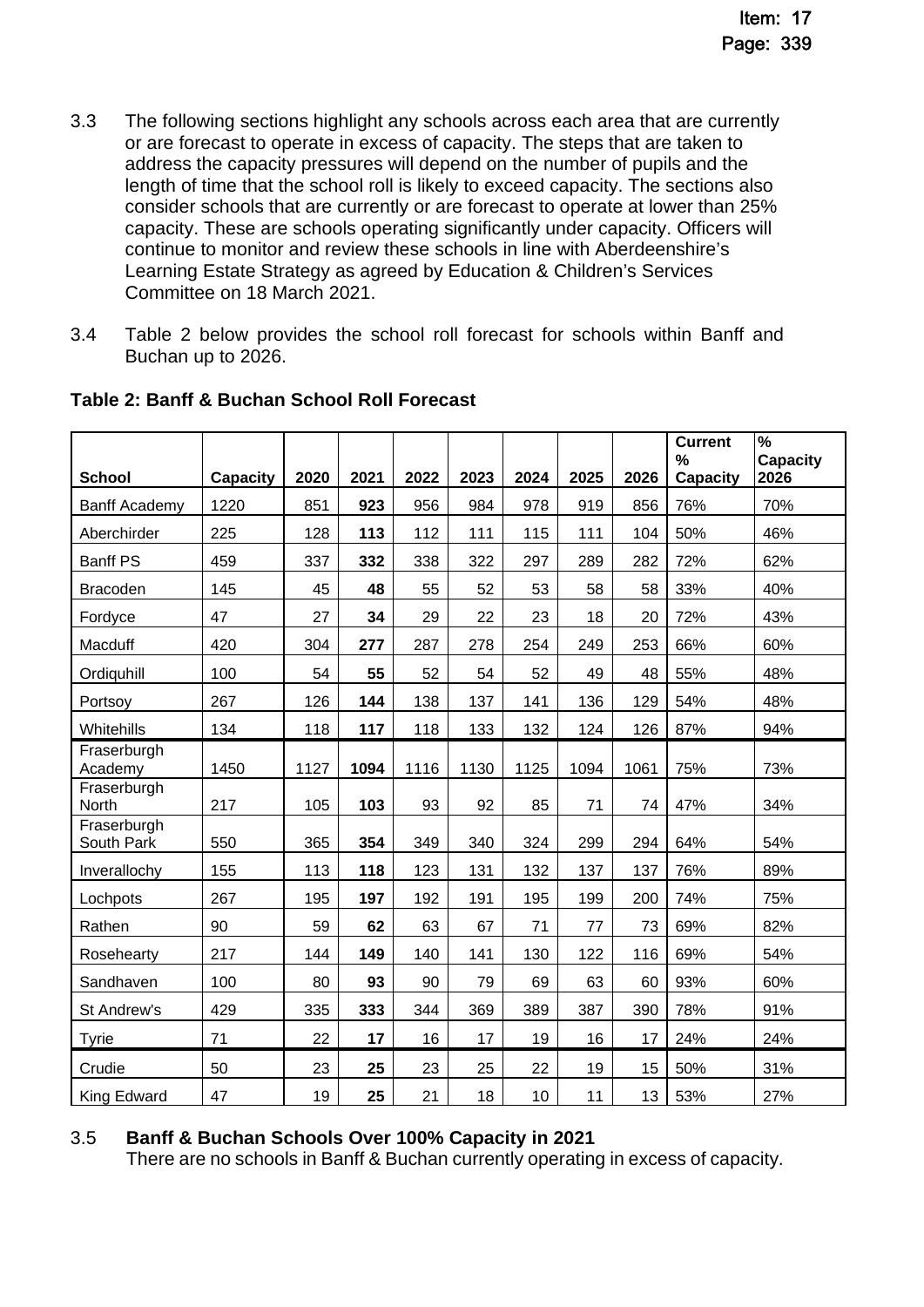- 3.3 The following sections highlight any schools across each area that are currently or are forecast to operate in excess of capacity. The steps that are taken to address the capacity pressures will depend on the number of pupils and the length of time that the school roll is likely to exceed capacity. The sections also consider schools that are currently or are forecast to operate at lower than 25% capacity. These are schools operating significantly under capacity. Officers will continue to monitor and review these schools in line with Aberdeenshire's Learning Estate Strategy as agreed by Education & Children's Services Committee on 18 March 2021.
- 3.4 Table 2 below provides the school roll forecast for schools within Banff and Buchan up to 2026.

| <b>School</b>             | <b>Capacity</b> | 2020 | 2021 | 2022 | 2023 | 2024 | 2025 | 2026 | <b>Current</b><br>%<br><b>Capacity</b> | %<br>Capacity<br>2026 |
|---------------------------|-----------------|------|------|------|------|------|------|------|----------------------------------------|-----------------------|
| <b>Banff Academy</b>      | 1220            | 851  | 923  | 956  | 984  | 978  | 919  | 856  | 76%                                    | 70%                   |
| Aberchirder               | 225             | 128  | 113  | 112  | 111  | 115  | 111  | 104  | 50%                                    | 46%                   |
| <b>Banff PS</b>           | 459             | 337  | 332  | 338  | 322  | 297  | 289  | 282  | 72%                                    | 62%                   |
| <b>Bracoden</b>           | 145             | 45   | 48   | 55   | 52   | 53   | 58   | 58   | 33%                                    | 40%                   |
| Fordyce                   | 47              | 27   | 34   | 29   | 22   | 23   | 18   | 20   | 72%                                    | 43%                   |
| Macduff                   | 420             | 304  | 277  | 287  | 278  | 254  | 249  | 253  | 66%                                    | 60%                   |
| Ordiquhill                | 100             | 54   | 55   | 52   | 54   | 52   | 49   | 48   | 55%                                    | 48%                   |
| Portsoy                   | 267             | 126  | 144  | 138  | 137  | 141  | 136  | 129  | 54%                                    | 48%                   |
| Whitehills                | 134             | 118  | 117  | 118  | 133  | 132  | 124  | 126  | 87%                                    | 94%                   |
| Fraserburgh<br>Academy    | 1450            | 1127 | 1094 | 1116 | 1130 | 1125 | 1094 | 1061 | 75%                                    | 73%                   |
| Fraserburgh<br>North      | 217             | 105  | 103  | 93   | 92   | 85   | 71   | 74   | 47%                                    | 34%                   |
| Fraserburgh<br>South Park | 550             | 365  | 354  | 349  | 340  | 324  | 299  | 294  | 64%                                    | 54%                   |
| Inverallochy              | 155             | 113  | 118  | 123  | 131  | 132  | 137  | 137  | 76%                                    | 89%                   |
| Lochpots                  | 267             | 195  | 197  | 192  | 191  | 195  | 199  | 200  | 74%                                    | 75%                   |
| Rathen                    | 90              | 59   | 62   | 63   | 67   | 71   | 77   | 73   | 69%                                    | 82%                   |
| Rosehearty                | 217             | 144  | 149  | 140  | 141  | 130  | 122  | 116  | 69%                                    | 54%                   |
| Sandhaven                 | 100             | 80   | 93   | 90   | 79   | 69   | 63   | 60   | 93%                                    | 60%                   |
| St Andrew's               | 429             | 335  | 333  | 344  | 369  | 389  | 387  | 390  | 78%                                    | 91%                   |
| <b>Tyrie</b>              | 71              | 22   | 17   | 16   | 17   | 19   | 16   | 17   | 24%                                    | 24%                   |
| Crudie                    | 50              | 23   | 25   | 23   | 25   | 22   | 19   | 15   | 50%                                    | 31%                   |
| King Edward               | 47              | 19   | 25   | 21   | 18   | 10   | 11   | 13   | 53%                                    | 27%                   |

# **Table 2: Banff & Buchan School Roll Forecast**

# 3.5 **Banff & Buchan Schools Over 100% Capacity in 2021**

There are no schools in Banff & Buchan currently operating in excess of capacity.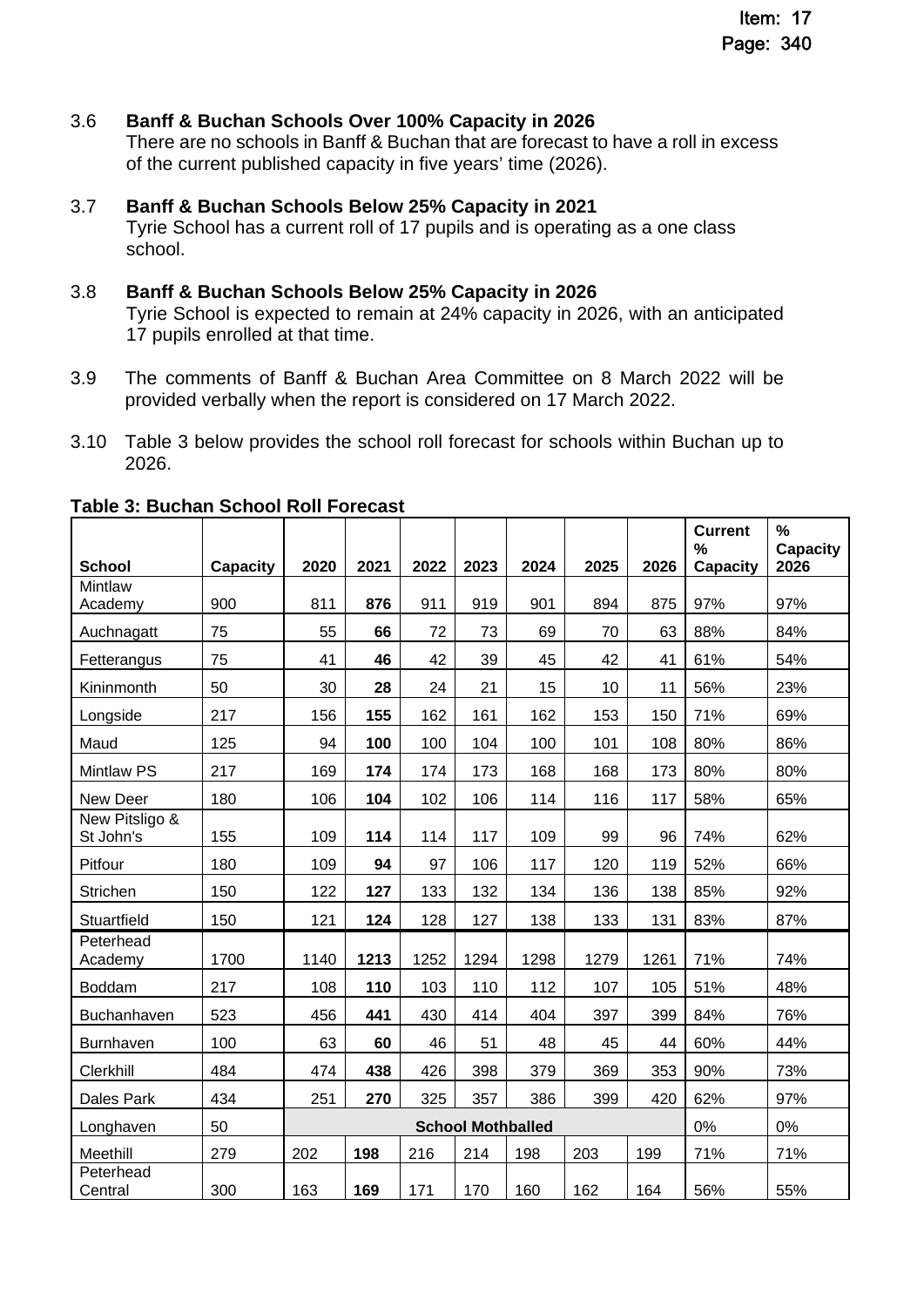### 3.6 **Banff & Buchan Schools Over 100% Capacity in 2026**

There are no schools in Banff & Buchan that are forecast to have a roll in excess of the current published capacity in five years' time (2026).

#### 3.7 **Banff & Buchan Schools Below 25% Capacity in 2021**

Tyrie School has a current roll of 17 pupils and is operating as a one class school.

#### 3.8 **Banff & Buchan Schools Below 25% Capacity in 2026**

Tyrie School is expected to remain at 24% capacity in 2026, with an anticipated 17 pupils enrolled at that time.

- 3.9 The comments of Banff & Buchan Area Committee on 8 March 2022 will be provided verbally when the report is considered on 17 March 2022.
- 3.10 Table 3 below provides the school roll forecast for schools within Buchan up to 2026.

|                             |          |                          |      |      |      |      |      |      | <b>Current</b><br>% | $\%$<br>Capacity |
|-----------------------------|----------|--------------------------|------|------|------|------|------|------|---------------------|------------------|
| <b>School</b>               | Capacity | 2020                     | 2021 | 2022 | 2023 | 2024 | 2025 | 2026 | <b>Capacity</b>     | 2026             |
| <b>Mintlaw</b><br>Academy   | 900      | 811                      | 876  | 911  | 919  | 901  | 894  | 875  | 97%                 | 97%              |
| Auchnagatt                  | 75       | 55                       | 66   | 72   | 73   | 69   | 70   | 63   | 88%                 | 84%              |
| Fetterangus                 | 75       | 41                       | 46   | 42   | 39   | 45   | 42   | 41   | 61%                 | 54%              |
| Kininmonth                  | 50       | 30                       | 28   | 24   | 21   | 15   | 10   | 11   | 56%                 | 23%              |
| Longside                    | 217      | 156                      | 155  | 162  | 161  | 162  | 153  | 150  | 71%                 | 69%              |
| Maud                        | 125      | 94                       | 100  | 100  | 104  | 100  | 101  | 108  | 80%                 | 86%              |
| <b>Mintlaw PS</b>           | 217      | 169                      | 174  | 174  | 173  | 168  | 168  | 173  | 80%                 | 80%              |
| New Deer                    | 180      | 106                      | 104  | 102  | 106  | 114  | 116  | 117  | 58%                 | 65%              |
| New Pitsligo &<br>St John's | 155      | 109                      | 114  | 114  | 117  | 109  | 99   | 96   | 74%                 | 62%              |
| Pitfour                     | 180      | 109                      | 94   | 97   | 106  | 117  | 120  | 119  | 52%                 | 66%              |
| <b>Strichen</b>             | 150      | 122                      | 127  | 133  | 132  | 134  | 136  | 138  | 85%                 | 92%              |
| Stuartfield                 | 150      | 121                      | 124  | 128  | 127  | 138  | 133  | 131  | 83%                 | 87%              |
| Peterhead<br>Academy        | 1700     | 1140                     | 1213 | 1252 | 1294 | 1298 | 1279 | 1261 | 71%                 | 74%              |
| <b>Boddam</b>               | 217      | 108                      | 110  | 103  | 110  | 112  | 107  | 105  | 51%                 | 48%              |
| Buchanhaven                 | 523      | 456                      | 441  | 430  | 414  | 404  | 397  | 399  | 84%                 | 76%              |
| <b>Burnhaven</b>            | 100      | 63                       | 60   | 46   | 51   | 48   | 45   | 44   | 60%                 | 44%              |
| Clerkhill                   | 484      | 474                      | 438  | 426  | 398  | 379  | 369  | 353  | 90%                 | 73%              |
| Dales Park                  | 434      | 251                      | 270  | 325  | 357  | 386  | 399  | 420  | 62%                 | 97%              |
| Longhaven                   | 50       | <b>School Mothballed</b> |      |      |      |      |      |      | 0%                  | 0%               |
| Meethill                    | 279      | 202                      | 198  | 216  | 214  | 198  | 203  | 199  | 71%                 | 71%              |
| Peterhead<br>Central        | 300      | 163                      | 169  | 171  | 170  | 160  | 162  | 164  | 56%                 | 55%              |

#### **Table 3: Buchan School Roll Forecast**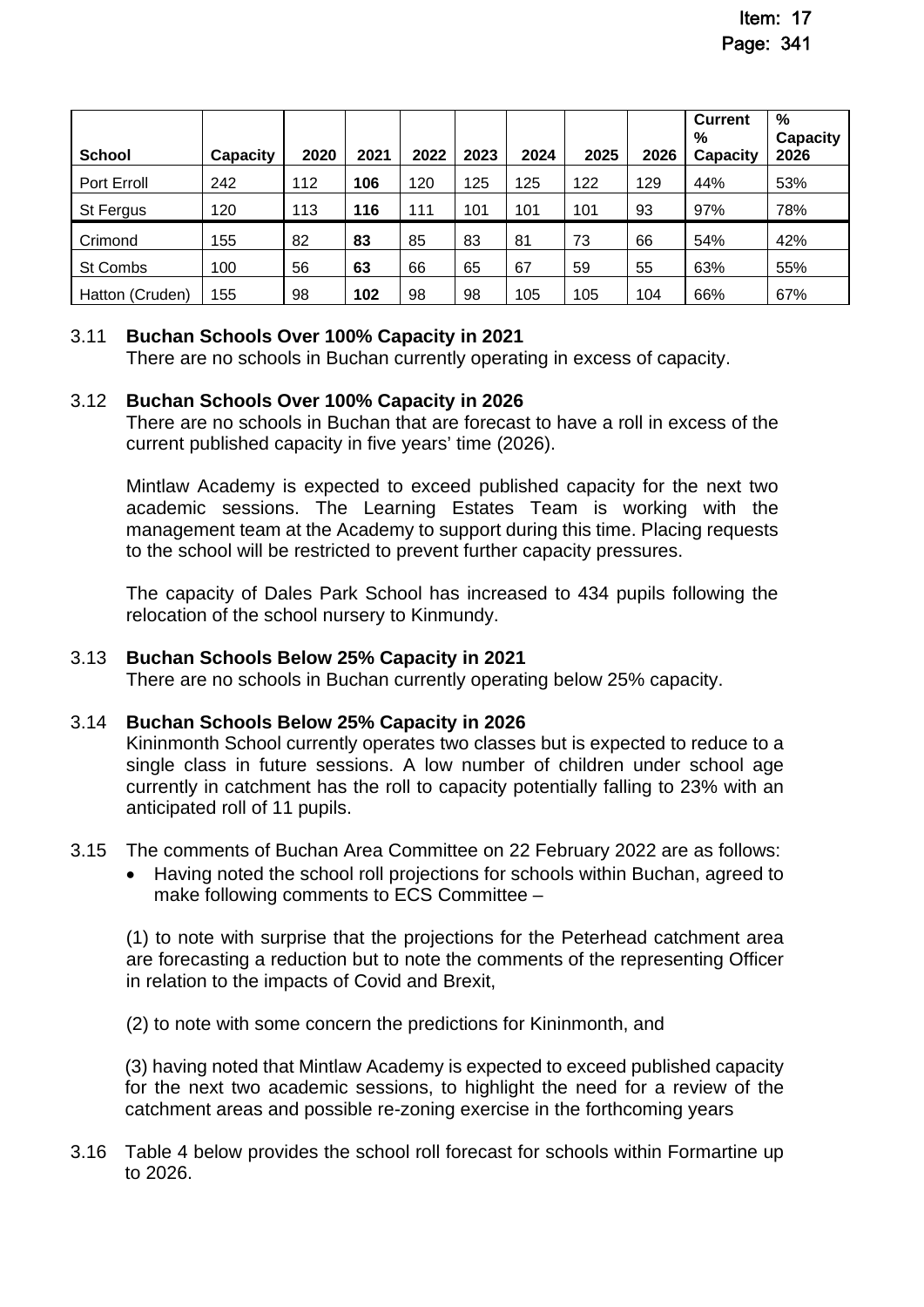|                 |                 |      |      |      |      |      |      |      | <b>Current</b><br>% | %<br>Capacity |
|-----------------|-----------------|------|------|------|------|------|------|------|---------------------|---------------|
| <b>School</b>   | <b>Capacity</b> | 2020 | 2021 | 2022 | 2023 | 2024 | 2025 | 2026 | Capacity            | 2026          |
| Port Erroll     | 242             | 112  | 106  | 120  | 125  | 125  | 122  | 129  | 44%                 | 53%           |
| St Fergus       | 120             | 113  | 116  | 111  | 101  | 101  | 101  | 93   | 97%                 | 78%           |
| Crimond         | 155             | 82   | 83   | 85   | 83   | 81   | 73   | 66   | 54%                 | 42%           |
| St Combs        | 100             | 56   | 63   | 66   | 65   | 67   | 59   | 55   | 63%                 | 55%           |
| Hatton (Cruden) | 155             | 98   | 102  | 98   | 98   | 105  | 105  | 104  | 66%                 | 67%           |

# 3.11 **Buchan Schools Over 100% Capacity in 2021**

There are no schools in Buchan currently operating in excess of capacity.

### 3.12 **Buchan Schools Over 100% Capacity in 2026**

There are no schools in Buchan that are forecast to have a roll in excess of the current published capacity in five years' time (2026).

Mintlaw Academy is expected to exceed published capacity for the next two academic sessions. The Learning Estates Team is working with the management team at the Academy to support during this time. Placing requests to the school will be restricted to prevent further capacity pressures.

The capacity of Dales Park School has increased to 434 pupils following the relocation of the school nursery to Kinmundy.

### 3.13 **Buchan Schools Below 25% Capacity in 2021**

There are no schools in Buchan currently operating below 25% capacity.

### 3.14 **Buchan Schools Below 25% Capacity in 2026**

Kininmonth School currently operates two classes but is expected to reduce to a single class in future sessions. A low number of children under school age currently in catchment has the roll to capacity potentially falling to 23% with an anticipated roll of 11 pupils.

- 3.15 The comments of Buchan Area Committee on 22 February 2022 are as follows:
	- Having noted the school roll projections for schools within Buchan, agreed to make following comments to ECS Committee –

(1) to note with surprise that the projections for the Peterhead catchment area are forecasting a reduction but to note the comments of the representing Officer in relation to the impacts of Covid and Brexit,

(2) to note with some concern the predictions for Kininmonth, and

(3) having noted that Mintlaw Academy is expected to exceed published capacity for the next two academic sessions, to highlight the need for a review of the catchment areas and possible re-zoning exercise in the forthcoming years

3.16 Table 4 below provides the school roll forecast for schools within Formartine up to 2026.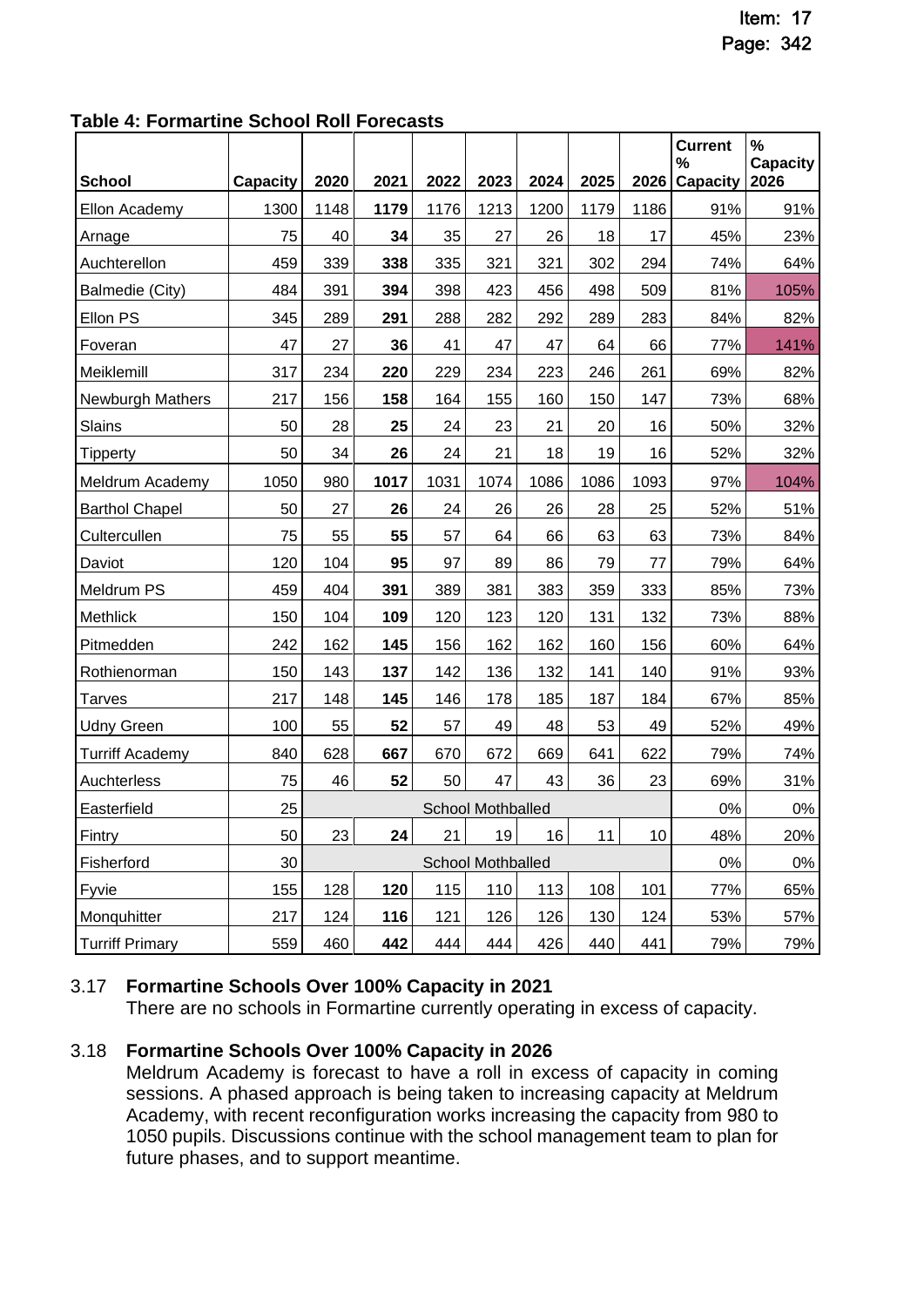**Table 4: Formartine School Roll Forecasts** 

|                        |                 |      |      |      |                          |      |      |      | <b>Current</b><br>% | $\%$<br><b>Capacity</b> |
|------------------------|-----------------|------|------|------|--------------------------|------|------|------|---------------------|-------------------------|
| <b>School</b>          | <b>Capacity</b> | 2020 | 2021 | 2022 | 2023                     | 2024 | 2025 | 2026 | <b>Capacity</b>     | 2026                    |
| Ellon Academy          | 1300            | 1148 | 1179 | 1176 | 1213                     | 1200 | 1179 | 1186 | 91%                 | 91%                     |
| Arnage                 | 75              | 40   | 34   | 35   | 27                       | 26   | 18   | 17   | 45%                 | 23%                     |
| Auchterellon           | 459             | 339  | 338  | 335  | 321                      | 321  | 302  | 294  | 74%                 | 64%                     |
| Balmedie (City)        | 484             | 391  | 394  | 398  | 423                      | 456  | 498  | 509  | 81%                 | 105%                    |
| Ellon PS               | 345             | 289  | 291  | 288  | 282                      | 292  | 289  | 283  | 84%                 | 82%                     |
| Foveran                | 47              | 27   | 36   | 41   | 47                       | 47   | 64   | 66   | 77%                 | 141%                    |
| Meiklemill             | 317             | 234  | 220  | 229  | 234                      | 223  | 246  | 261  | 69%                 | 82%                     |
| Newburgh Mathers       | 217             | 156  | 158  | 164  | 155                      | 160  | 150  | 147  | 73%                 | 68%                     |
| Slains                 | 50              | 28   | 25   | 24   | 23                       | 21   | 20   | 16   | 50%                 | 32%                     |
| <b>Tipperty</b>        | 50              | 34   | 26   | 24   | 21                       | 18   | 19   | 16   | 52%                 | 32%                     |
| Meldrum Academy        | 1050            | 980  | 1017 | 1031 | 1074                     | 1086 | 1086 | 1093 | 97%                 | 104%                    |
| <b>Barthol Chapel</b>  | 50              | 27   | 26   | 24   | 26                       | 26   | 28   | 25   | 52%                 | 51%                     |
| Cultercullen           | 75              | 55   | 55   | 57   | 64                       | 66   | 63   | 63   | 73%                 | 84%                     |
| Daviot                 | 120             | 104  | 95   | 97   | 89                       | 86   | 79   | 77   | 79%                 | 64%                     |
| Meldrum PS             | 459             | 404  | 391  | 389  | 381                      | 383  | 359  | 333  | 85%                 | 73%                     |
| Methlick               | 150             | 104  | 109  | 120  | 123                      | 120  | 131  | 132  | 73%                 | 88%                     |
| Pitmedden              | 242             | 162  | 145  | 156  | 162                      | 162  | 160  | 156  | 60%                 | 64%                     |
| Rothienorman           | 150             | 143  | 137  | 142  | 136                      | 132  | 141  | 140  | 91%                 | 93%                     |
| Tarves                 | 217             | 148  | 145  | 146  | 178                      | 185  | 187  | 184  | 67%                 | 85%                     |
| <b>Udny Green</b>      | 100             | 55   | 52   | 57   | 49                       | 48   | 53   | 49   | 52%                 | 49%                     |
| <b>Turriff Academy</b> | 840             | 628  | 667  | 670  | 672                      | 669  | 641  | 622  | 79%                 | 74%                     |
| Auchterless            | 75              | 46   | 52   | 50   | 47                       | 43   | 36   | 23   | 69%                 | 31%                     |
| Easterfield            | 25              |      |      |      | <b>School Mothballed</b> |      |      |      | 0%                  | $0\%$                   |
| Fintry                 | 50              | 23   | 24   | 21   | 19                       | 16   | 11   | 10   | 48%                 | 20%                     |
| Fisherford             | 30              |      |      |      | School Mothballed        |      |      |      | $0\%$               | $0\%$                   |
| Fyvie                  | 155             | 128  | 120  | 115  | 110                      | 113  | 108  | 101  | 77%                 | 65%                     |
| Monquhitter            | 217             | 124  | 116  | 121  | 126                      | 126  | 130  | 124  | 53%                 | 57%                     |
| <b>Turriff Primary</b> | 559             | 460  | 442  | 444  | 444                      | 426  | 440  | 441  | 79%                 | 79%                     |

# 3.17 **Formartine Schools Over 100% Capacity in 2021**

There are no schools in Formartine currently operating in excess of capacity.

# 3.18 **Formartine Schools Over 100% Capacity in 2026**

Meldrum Academy is forecast to have a roll in excess of capacity in coming sessions. A phased approach is being taken to increasing capacity at Meldrum Academy, with recent reconfiguration works increasing the capacity from 980 to 1050 pupils. Discussions continue with the school management team to plan for future phases, and to support meantime.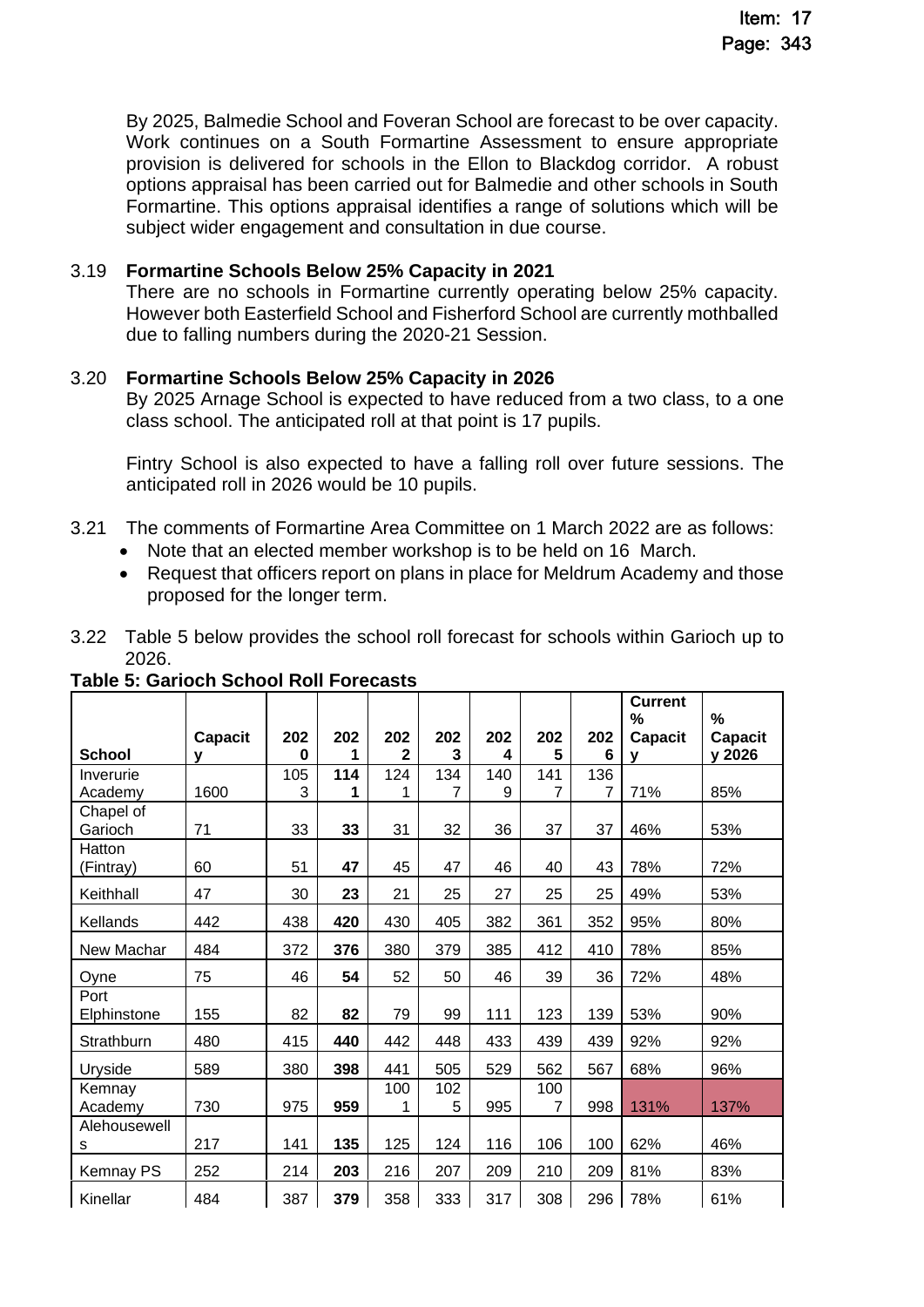By 2025, Balmedie School and Foveran School are forecast to be over capacity. Work continues on a South Formartine Assessment to ensure appropriate provision is delivered for schools in the Ellon to Blackdog corridor. A robust options appraisal has been carried out for Balmedie and other schools in South Formartine. This options appraisal identifies a range of solutions which will be subject wider engagement and consultation in due course.

### 3.19 **Formartine Schools Below 25% Capacity in 2021**

There are no schools in Formartine currently operating below 25% capacity. However both Easterfield School and Fisherford School are currently mothballed due to falling numbers during the 2020-21 Session.

### 3.20 **Formartine Schools Below 25% Capacity in 2026**

By 2025 Arnage School is expected to have reduced from a two class, to a one class school. The anticipated roll at that point is 17 pupils.

Fintry School is also expected to have a falling roll over future sessions. The anticipated roll in 2026 would be 10 pupils.

- 3.21 The comments of Formartine Area Committee on 1 March 2022 are as follows:
	- Note that an elected member workshop is to be held on 16 March.
	- Request that officers report on plans in place for Meldrum Academy and those proposed for the longer term.
- 3.22 Table 5 below provides the school roll forecast for schools within Garioch up to 2026.

|               |                |          |     |                |     |     |     |     | <b>Current</b><br>% | $\%$           |
|---------------|----------------|----------|-----|----------------|-----|-----|-----|-----|---------------------|----------------|
|               | <b>Capacit</b> | 202      | 202 | 202            | 202 | 202 | 202 | 202 | <b>Capacit</b>      | <b>Capacit</b> |
| <b>School</b> | v              | $\bf{0}$ |     | $\overline{2}$ | 3   | 4   | 5   | 6   | v                   | y 2026         |
| Inverurie     |                | 105      | 114 | 124            | 134 | 140 | 141 | 136 |                     |                |
| Academy       | 1600           | 3        | 1   | 1              | 7   | 9   | 7   | 7   | 71%                 | 85%            |
| Chapel of     |                |          |     |                |     |     |     |     |                     |                |
| Garioch       | 71             | 33       | 33  | 31             | 32  | 36  | 37  | 37  | 46%                 | 53%            |
| Hatton        |                |          |     |                |     |     |     |     |                     |                |
| (Fintray)     | 60             | 51       | 47  | 45             | 47  | 46  | 40  | 43  | 78%                 | 72%            |
| Keithhall     | 47             | 30       | 23  | 21             | 25  | 27  | 25  | 25  | 49%                 | 53%            |
| Kellands      | 442            | 438      | 420 | 430            | 405 | 382 | 361 | 352 | 95%                 | 80%            |
| New Machar    | 484            | 372      | 376 | 380            | 379 | 385 | 412 | 410 | 78%                 | 85%            |
| Oyne          | 75             | 46       | 54  | 52             | 50  | 46  | 39  | 36  | 72%                 | 48%            |
| Port          |                |          |     |                |     |     |     |     |                     |                |
| Elphinstone   | 155            | 82       | 82  | 79             | 99  | 111 | 123 | 139 | 53%                 | 90%            |
| Strathburn    | 480            | 415      | 440 | 442            | 448 | 433 | 439 | 439 | 92%                 | 92%            |
| Uryside       | 589            | 380      | 398 | 441            | 505 | 529 | 562 | 567 | 68%                 | 96%            |
| Kemnay        |                |          |     | 100            | 102 |     | 100 |     |                     |                |
| Academy       | 730            | 975      | 959 | 1              | 5   | 995 | 7   | 998 | 131%                | 137%           |
| Alehousewell  |                |          |     |                |     |     |     |     |                     |                |
| s             | 217            | 141      | 135 | 125            | 124 | 116 | 106 | 100 | 62%                 | 46%            |
| Kemnay PS     | 252            | 214      | 203 | 216            | 207 | 209 | 210 | 209 | 81%                 | 83%            |
| Kinellar      | 484            | 387      | 379 | 358            | 333 | 317 | 308 | 296 | 78%                 | 61%            |

**Table 5: Garioch School Roll Forecasts**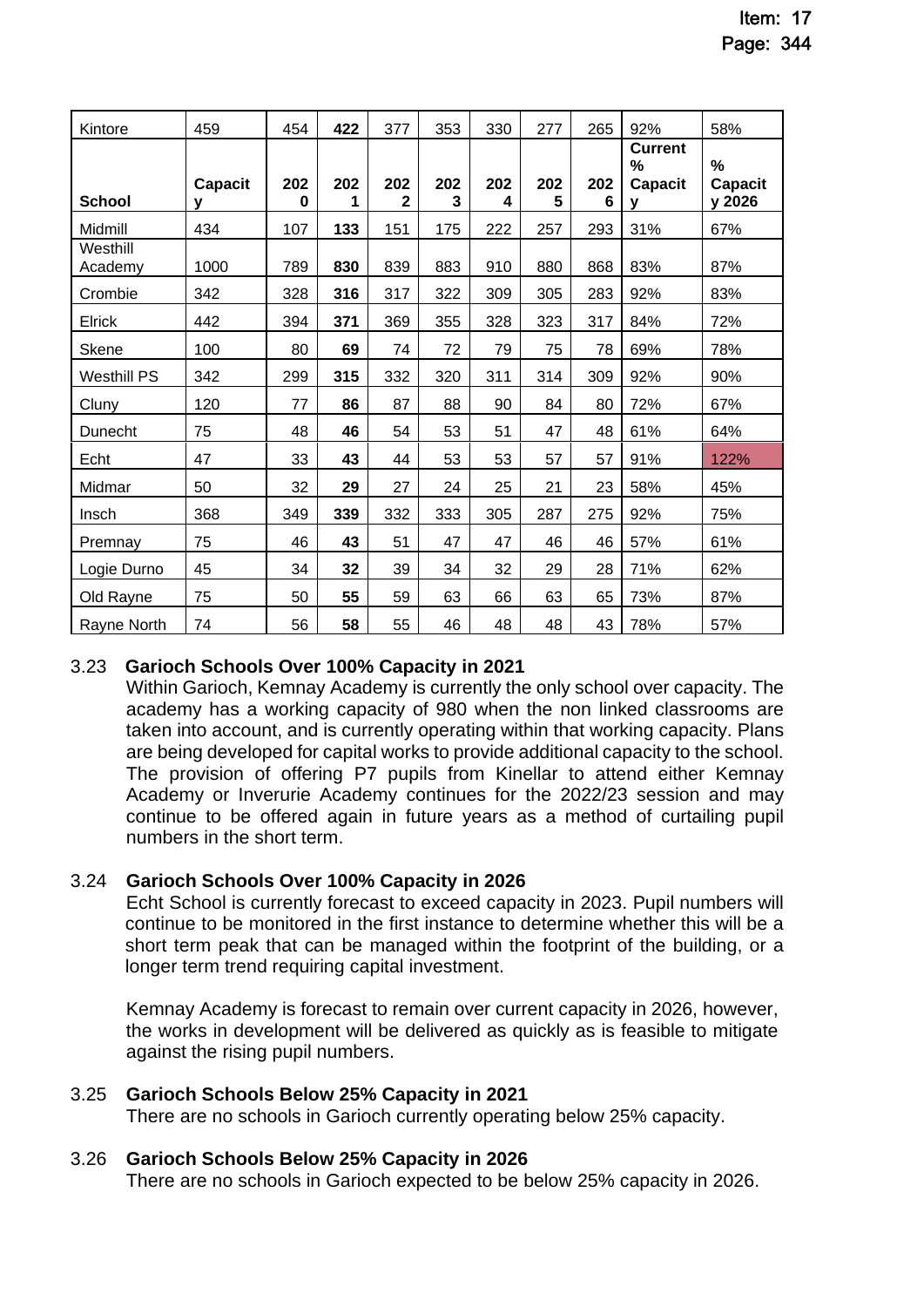| Kintore             | 459                 | 454      | 422 | 377      | 353      | 330      | 277      | 265      | 92%                                        | 58%                           |
|---------------------|---------------------|----------|-----|----------|----------|----------|----------|----------|--------------------------------------------|-------------------------------|
| <b>School</b>       | <b>Capacit</b><br>v | 202<br>0 | 202 | 202<br>2 | 202<br>3 | 202<br>4 | 202<br>5 | 202<br>6 | <b>Current</b><br>%<br><b>Capacit</b><br>v | %<br><b>Capacit</b><br>y 2026 |
| Midmill             | 434                 | 107      | 133 | 151      | 175      | 222      | 257      | 293      | 31%                                        | 67%                           |
| Westhill<br>Academy | 1000                | 789      | 830 | 839      | 883      | 910      | 880      | 868      | 83%                                        | 87%                           |
| Crombie             | 342                 | 328      | 316 | 317      | 322      | 309      | 305      | 283      | 92%                                        | 83%                           |
| Elrick              | 442                 | 394      | 371 | 369      | 355      | 328      | 323      | 317      | 84%                                        | 72%                           |
| Skene               | 100                 | 80       | 69  | 74       | 72       | 79       | 75       | 78       | 69%                                        | 78%                           |
| <b>Westhill PS</b>  | 342                 | 299      | 315 | 332      | 320      | 311      | 314      | 309      | 92%                                        | 90%                           |
| Cluny               | 120                 | 77       | 86  | 87       | 88       | 90       | 84       | 80       | 72%                                        | 67%                           |
| Dunecht             | 75                  | 48       | 46  | 54       | 53       | 51       | 47       | 48       | 61%                                        | 64%                           |
| Echt                | 47                  | 33       | 43  | 44       | 53       | 53       | 57       | 57       | 91%                                        | 122%                          |
| Midmar              | 50                  | 32       | 29  | 27       | 24       | 25       | 21       | 23       | 58%                                        | 45%                           |
| Insch               | 368                 | 349      | 339 | 332      | 333      | 305      | 287      | 275      | 92%                                        | 75%                           |
| Premnay             | 75                  | 46       | 43  | 51       | 47       | 47       | 46       | 46       | 57%                                        | 61%                           |
| Logie Durno         | 45                  | 34       | 32  | 39       | 34       | 32       | 29       | 28       | 71%                                        | 62%                           |
| Old Rayne           | 75                  | 50       | 55  | 59       | 63       | 66       | 63       | 65       | 73%                                        | 87%                           |
| Rayne North         | 74                  | 56       | 58  | 55       | 46       | 48       | 48       | 43       | 78%                                        | 57%                           |

# 3.23 **Garioch Schools Over 100% Capacity in 2021**

Within Garioch, Kemnay Academy is currently the only school over capacity. The academy has a working capacity of 980 when the non linked classrooms are taken into account, and is currently operating within that working capacity. Plans are being developed for capital works to provide additional capacity to the school. The provision of offering P7 pupils from Kinellar to attend either Kemnay Academy or Inverurie Academy continues for the 2022/23 session and may continue to be offered again in future years as a method of curtailing pupil numbers in the short term.

### 3.24 **Garioch Schools Over 100% Capacity in 2026**

 Echt School is currently forecast to exceed capacity in 2023. Pupil numbers will continue to be monitored in the first instance to determine whether this will be a short term peak that can be managed within the footprint of the building, or a longer term trend requiring capital investment.

Kemnay Academy is forecast to remain over current capacity in 2026, however, the works in development will be delivered as quickly as is feasible to mitigate against the rising pupil numbers.

### 3.25 **Garioch Schools Below 25% Capacity in 2021**

There are no schools in Garioch currently operating below 25% capacity.

### 3.26 **Garioch Schools Below 25% Capacity in 2026**

There are no schools in Garioch expected to be below 25% capacity in 2026.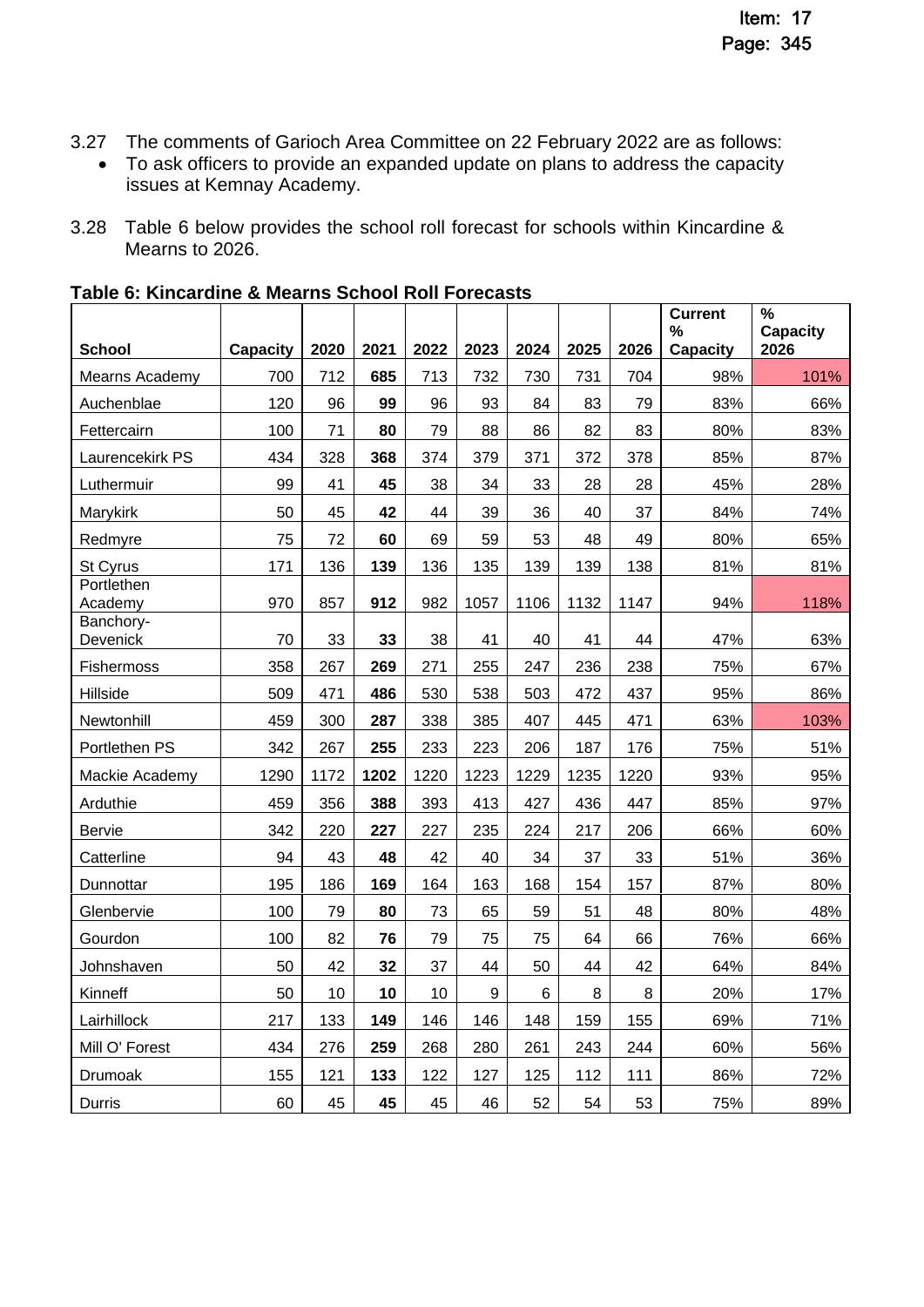- 3.27 The comments of Garioch Area Committee on 22 February 2022 are as follows:
	- To ask officers to provide an expanded update on plans to address the capacity issues at Kemnay Academy.
- 3.28 Table 6 below provides the school roll forecast for schools within Kincardine & Mearns to 2026.

| <b>School</b>         | <b>Capacity</b> | 2020 | 2021 | 2022 | 2023 | 2024 | 2025 | 2026 | <b>Current</b><br>$\%$<br><b>Capacity</b> | %<br><b>Capacity</b><br>2026 |
|-----------------------|-----------------|------|------|------|------|------|------|------|-------------------------------------------|------------------------------|
| Mearns Academy        | 700             | 712  | 685  | 713  | 732  | 730  | 731  | 704  | 98%                                       | 101%                         |
| Auchenblae            | 120             | 96   | 99   | 96   | 93   | 84   | 83   | 79   | 83%                                       | 66%                          |
| Fettercairn           | 100             | 71   | 80   | 79   | 88   | 86   | 82   | 83   | 80%                                       | 83%                          |
| Laurencekirk PS       | 434             | 328  | 368  | 374  | 379  | 371  | 372  | 378  | 85%                                       | 87%                          |
| Luthermuir            | 99              | 41   | 45   | 38   | 34   | 33   | 28   | 28   | 45%                                       | 28%                          |
| Marykirk              | 50              | 45   | 42   | 44   | 39   | 36   | 40   | 37   | 84%                                       | 74%                          |
| Redmyre               | 75              | 72   | 60   | 69   | 59   | 53   | 48   | 49   | 80%                                       | 65%                          |
| St Cyrus              | 171             | 136  | 139  | 136  | 135  | 139  | 139  | 138  | 81%                                       | 81%                          |
| Portlethen<br>Academy | 970             | 857  | 912  | 982  | 1057 | 1106 | 1132 | 1147 | 94%                                       | 118%                         |
| Banchory-<br>Devenick | 70              | 33   | 33   | 38   | 41   | 40   | 41   | 44   | 47%                                       | 63%                          |
| <b>Fishermoss</b>     | 358             | 267  | 269  | 271  | 255  | 247  | 236  | 238  | 75%                                       | 67%                          |
| Hillside              | 509             | 471  | 486  | 530  | 538  | 503  | 472  | 437  | 95%                                       | 86%                          |
| Newtonhill            | 459             | 300  | 287  | 338  | 385  | 407  | 445  | 471  | 63%                                       | 103%                         |
| Portlethen PS         | 342             | 267  | 255  | 233  | 223  | 206  | 187  | 176  | 75%                                       | 51%                          |
| Mackie Academy        | 1290            | 1172 | 1202 | 1220 | 1223 | 1229 | 1235 | 1220 | 93%                                       | 95%                          |
| Arduthie              | 459             | 356  | 388  | 393  | 413  | 427  | 436  | 447  | 85%                                       | 97%                          |
| Bervie                | 342             | 220  | 227  | 227  | 235  | 224  | 217  | 206  | 66%                                       | 60%                          |
| Catterline            | 94              | 43   | 48   | 42   | 40   | 34   | 37   | 33   | 51%                                       | 36%                          |
| Dunnottar             | 195             | 186  | 169  | 164  | 163  | 168  | 154  | 157  | 87%                                       | 80%                          |
| Glenbervie            | 100             | 79   | 80   | 73   | 65   | 59   | 51   | 48   | 80%                                       | 48%                          |
| Gourdon               | 100             | 82   | 76   | 79   | 75   | 75   | 64   | 66   | 76%                                       | 66%                          |
| Johnshaven            | 50              | 42   | 32   | 37   | 44   | 50   | 44   | 42   | 64%                                       | 84%                          |
| Kinneff               | 50              | 10   | 10   | 10   | 9    | 6    | 8    | 8    | 20%                                       | 17%                          |
| Lairhillock           | 217             | 133  | 149  | 146  | 146  | 148  | 159  | 155  | 69%                                       | 71%                          |
| Mill O' Forest        | 434             | 276  | 259  | 268  | 280  | 261  | 243  | 244  | 60%                                       | 56%                          |
| Drumoak               | 155             | 121  | 133  | 122  | 127  | 125  | 112  | 111  | 86%                                       | 72%                          |
| Durris                | 60              | 45   | 45   | 45   | 46   | 52   | 54   | 53   | 75%                                       | 89%                          |

# **Table 6: Kincardine & Mearns School Roll Forecasts**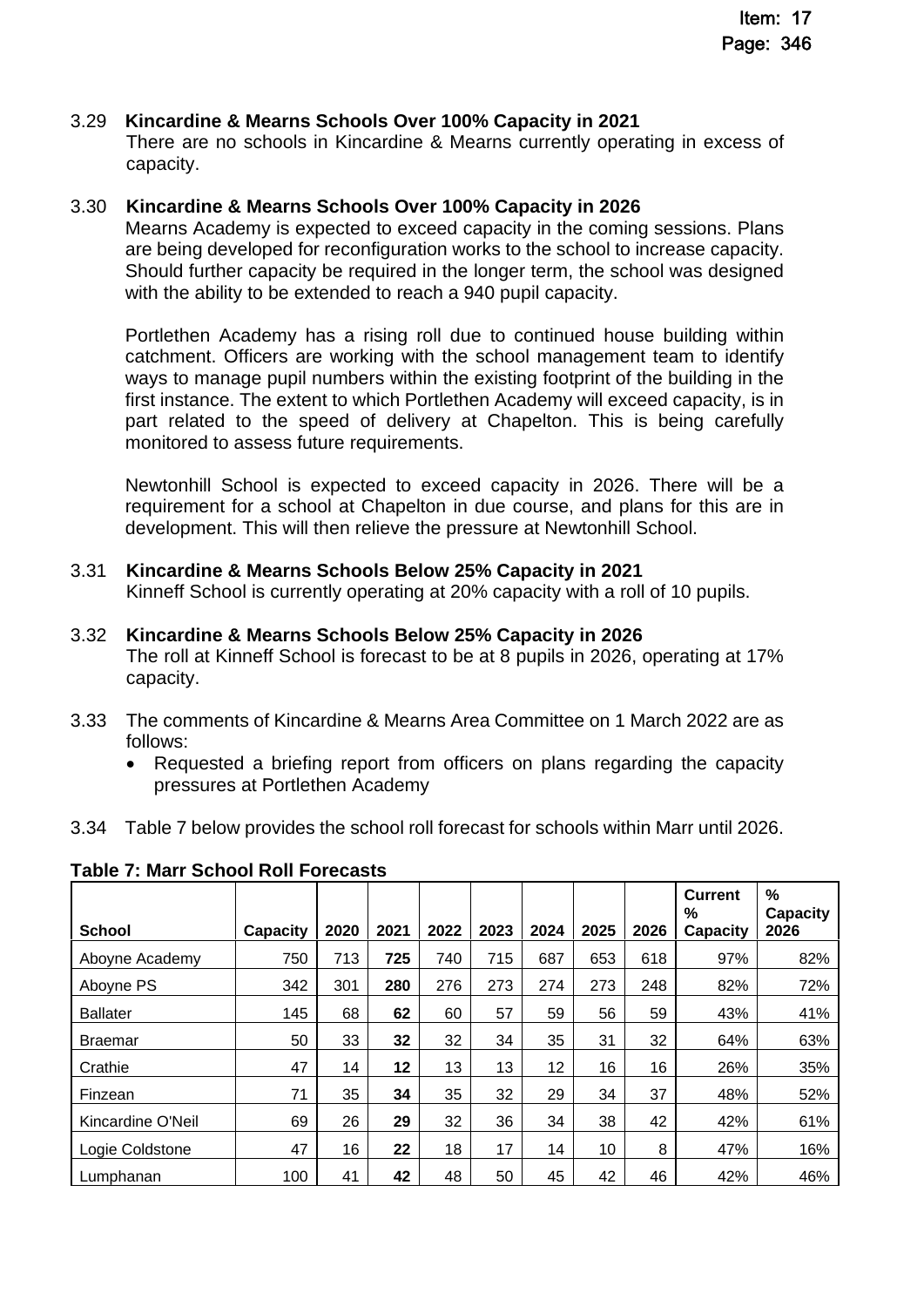### 3.29 **Kincardine & Mearns Schools Over 100% Capacity in 2021**

There are no schools in Kincardine & Mearns currently operating in excess of capacity.

### 3.30 **Kincardine & Mearns Schools Over 100% Capacity in 2026**

Mearns Academy is expected to exceed capacity in the coming sessions. Plans are being developed for reconfiguration works to the school to increase capacity. Should further capacity be required in the longer term, the school was designed with the ability to be extended to reach a 940 pupil capacity.

Portlethen Academy has a rising roll due to continued house building within catchment. Officers are working with the school management team to identify ways to manage pupil numbers within the existing footprint of the building in the first instance. The extent to which Portlethen Academy will exceed capacity, is in part related to the speed of delivery at Chapelton. This is being carefully monitored to assess future requirements.

Newtonhill School is expected to exceed capacity in 2026. There will be a requirement for a school at Chapelton in due course, and plans for this are in development. This will then relieve the pressure at Newtonhill School.

3.31 **Kincardine & Mearns Schools Below 25% Capacity in 2021**  Kinneff School is currently operating at 20% capacity with a roll of 10 pupils.

### 3.32 **Kincardine & Mearns Schools Below 25% Capacity in 2026**

The roll at Kinneff School is forecast to be at 8 pupils in 2026, operating at 17% capacity.

- 3.33 The comments of Kincardine & Mearns Area Committee on 1 March 2022 are as follows:
	- Requested a briefing report from officers on plans regarding the capacity pressures at Portlethen Academy
- 3.34 Table 7 below provides the school roll forecast for schools within Marr until 2026.

| <b>School</b>     | Capacity | 2020 | 2021 | 2022 | 2023 | 2024 | 2025 | 2026 | <b>Current</b><br>%<br>Capacity | %<br><b>Capacity</b><br>2026 |
|-------------------|----------|------|------|------|------|------|------|------|---------------------------------|------------------------------|
| Aboyne Academy    | 750      | 713  | 725  | 740  | 715  | 687  | 653  | 618  | 97%                             | 82%                          |
| Aboyne PS         | 342      | 301  | 280  | 276  | 273  | 274  | 273  | 248  | 82%                             | 72%                          |
| <b>Ballater</b>   | 145      | 68   | 62   | 60   | 57   | 59   | 56   | 59   | 43%                             | 41%                          |
| <b>Braemar</b>    | 50       | 33   | 32   | 32   | 34   | 35   | 31   | 32   | 64%                             | 63%                          |
| Crathie           | 47       | 14   | 12   | 13   | 13   | 12   | 16   | 16   | 26%                             | 35%                          |
| Finzean           | 71       | 35   | 34   | 35   | 32   | 29   | 34   | 37   | 48%                             | 52%                          |
| Kincardine O'Neil | 69       | 26   | 29   | 32   | 36   | 34   | 38   | 42   | 42%                             | 61%                          |
| Logie Coldstone   | 47       | 16   | 22   | 18   | 17   | 14   | 10   | 8    | 47%                             | 16%                          |
| Lumphanan         | 100      | 41   | 42   | 48   | 50   | 45   | 42   | 46   | 42%                             | 46%                          |

**Table 7: Marr School Roll Forecasts**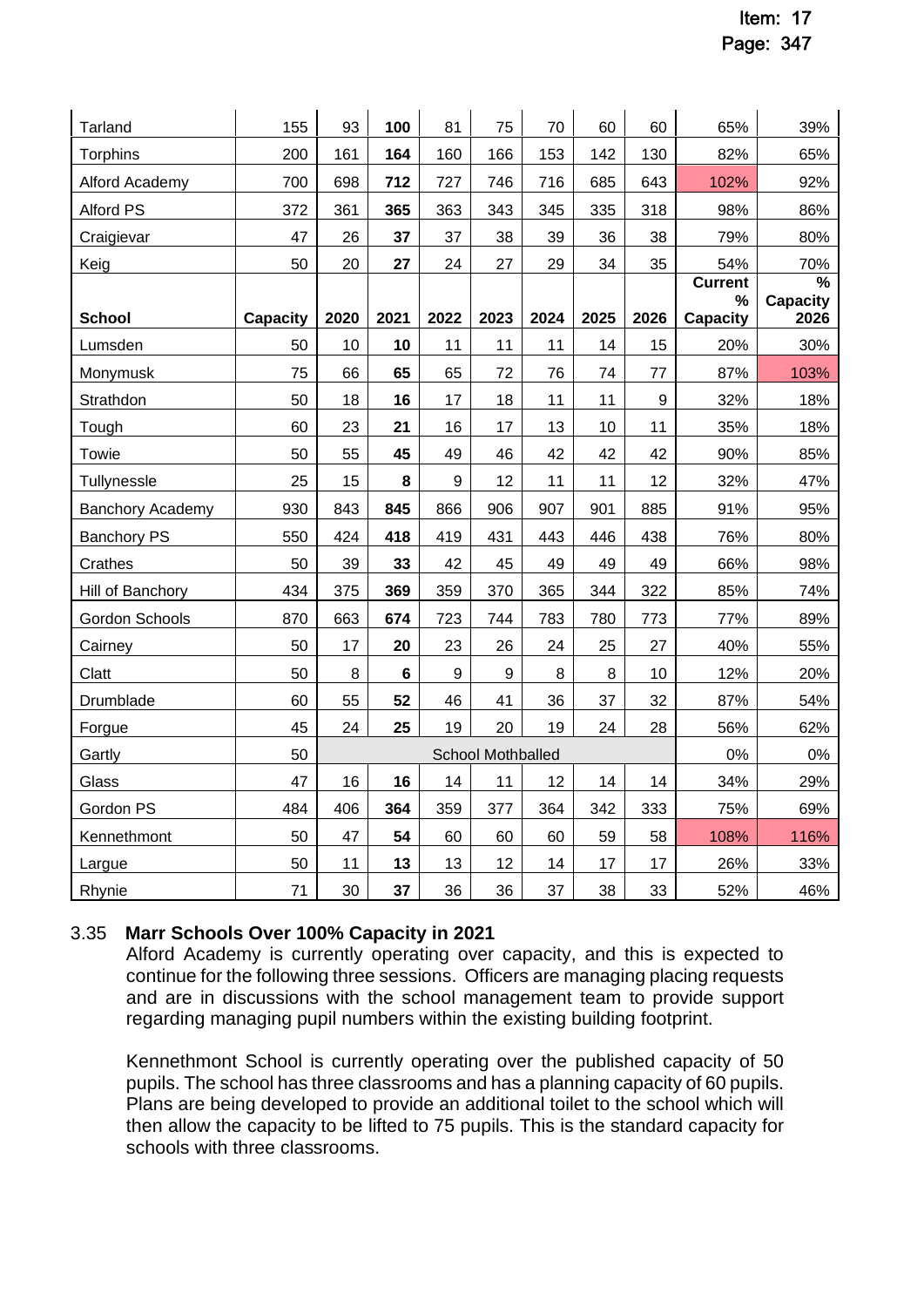| Tarland                 | 155             | 93   | 100            | 81   | 75                | 70   | 60   | 60               | 65%                   | 39%                  |
|-------------------------|-----------------|------|----------------|------|-------------------|------|------|------------------|-----------------------|----------------------|
| <b>Torphins</b>         | 200             | 161  | 164            | 160  | 166               | 153  | 142  | 130              | 82%                   | 65%                  |
|                         |                 |      |                | 727  |                   |      |      | 643              |                       | 92%                  |
| Alford Academy          | 700             | 698  | 712            |      | 746               | 716  | 685  |                  | 102%                  |                      |
| <b>Alford PS</b>        | 372             | 361  | 365            | 363  | 343               | 345  | 335  | 318              | 98%                   | 86%                  |
| Craigievar              | 47              | 26   | 37             | 37   | 38                | 39   | 36   | 38               | 79%                   | 80%                  |
| Keig                    | 50              | 20   | 27             | 24   | 27                | 29   | 34   | 35               | 54%<br><b>Current</b> | 70%<br>$\frac{9}{6}$ |
|                         |                 |      |                |      |                   |      |      |                  | $\%$                  | <b>Capacity</b>      |
| <b>School</b>           | <b>Capacity</b> | 2020 | 2021           | 2022 | 2023              | 2024 | 2025 | 2026             | <b>Capacity</b>       | 2026                 |
| Lumsden                 | 50              | 10   | 10             | 11   | 11                | 11   | 14   | 15               | 20%                   | 30%                  |
| Monymusk                | 75              | 66   | 65             | 65   | 72                | 76   | 74   | 77               | 87%                   | 103%                 |
| Strathdon               | 50              | 18   | 16             | 17   | 18                | 11   | 11   | $\boldsymbol{9}$ | 32%                   | 18%                  |
| Tough                   | 60              | 23   | 21             | 16   | 17                | 13   | 10   | 11               | 35%                   | 18%                  |
| Towie                   | 50              | 55   | 45             | 49   | 46                | 42   | 42   | 42               | 90%                   | 85%                  |
| Tullynessle             | 25              | 15   | 8              | 9    | 12                | 11   | 11   | 12               | 32%                   | 47%                  |
| <b>Banchory Academy</b> | 930             | 843  | 845            | 866  | 906               | 907  | 901  | 885              | 91%                   | 95%                  |
| <b>Banchory PS</b>      | 550             | 424  | 418            | 419  | 431               | 443  | 446  | 438              | 76%                   | 80%                  |
| Crathes                 | 50              | 39   | 33             | 42   | 45                | 49   | 49   | 49               | 66%                   | 98%                  |
| Hill of Banchory        | 434             | 375  | 369            | 359  | 370               | 365  | 344  | 322              | 85%                   | 74%                  |
| Gordon Schools          | 870             | 663  | 674            | 723  | 744               | 783  | 780  | 773              | 77%                   | 89%                  |
| Cairney                 | 50              | 17   | 20             | 23   | 26                | 24   | 25   | 27               | 40%                   | 55%                  |
| Clatt                   | 50              | 8    | $6\phantom{1}$ | 9    | $9\,$             | 8    | 8    | 10               | 12%                   | 20%                  |
| Drumblade               | 60              | 55   | 52             | 46   | 41                | 36   | 37   | 32               | 87%                   | 54%                  |
| Forgue                  | 45              | 24   | 25             | 19   | 20                | 19   | 24   | 28               | 56%                   | 62%                  |
| Gartly                  | 50              |      |                |      | School Mothballed |      |      |                  | 0%                    | 0%                   |
| Glass                   | 47              | 16   | 16             | 14   | 11                | 12   | 14   | 14               | 34%                   | 29%                  |
| Gordon PS               | 484             | 406  | 364            | 359  | 377               | 364  | 342  | 333              | 75%                   | 69%                  |
| Kennethmont             | 50              | 47   | 54             | 60   | 60                | 60   | 59   | 58               | 108%                  | 116%                 |
| Largue                  | 50              | 11   | 13             | 13   | 12                | 14   | 17   | 17               | 26%                   | 33%                  |
| Rhynie                  | 71              | 30   | 37             | 36   | 36                | 37   | 38   | 33               | 52%                   | 46%                  |

# 3.35 **Marr Schools Over 100% Capacity in 2021**

Alford Academy is currently operating over capacity, and this is expected to continue for the following three sessions. Officers are managing placing requests and are in discussions with the school management team to provide support regarding managing pupil numbers within the existing building footprint.

Kennethmont School is currently operating over the published capacity of 50 pupils. The school has three classrooms and has a planning capacity of 60 pupils. Plans are being developed to provide an additional toilet to the school which will then allow the capacity to be lifted to 75 pupils. This is the standard capacity for schools with three classrooms.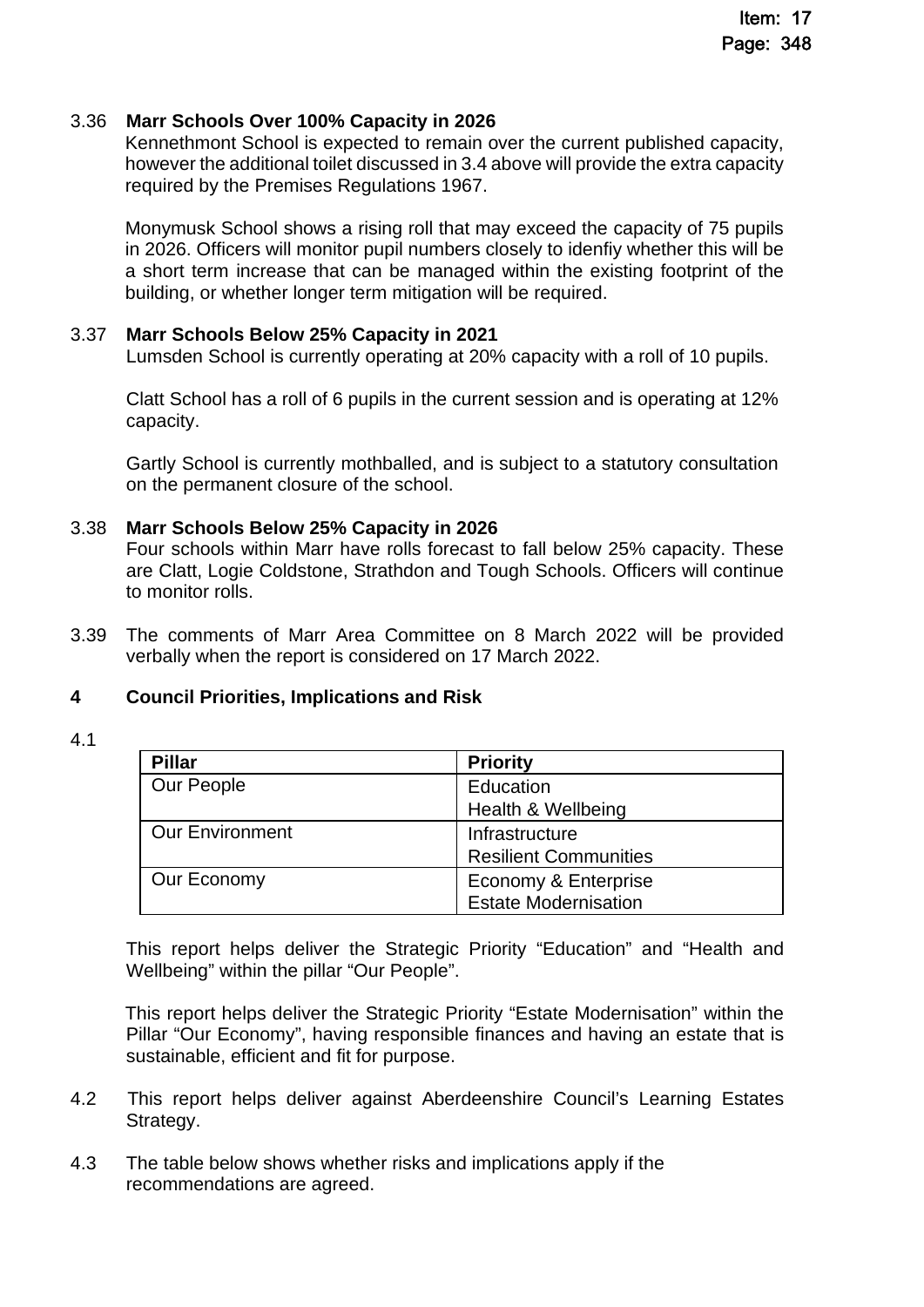### 3.36 **Marr Schools Over 100% Capacity in 2026**

Kennethmont School is expected to remain over the current published capacity, however the additional toilet discussed in 3.4 above will provide the extra capacity required by the Premises Regulations 1967.

Monymusk School shows a rising roll that may exceed the capacity of 75 pupils in 2026. Officers will monitor pupil numbers closely to idenfiy whether this will be a short term increase that can be managed within the existing footprint of the building, or whether longer term mitigation will be required.

### 3.37 **Marr Schools Below 25% Capacity in 2021**

Lumsden School is currently operating at 20% capacity with a roll of 10 pupils.

Clatt School has a roll of 6 pupils in the current session and is operating at 12% capacity.

Gartly School is currently mothballed, and is subject to a statutory consultation on the permanent closure of the school.

### 3.38 **Marr Schools Below 25% Capacity in 2026**

Four schools within Marr have rolls forecast to fall below 25% capacity. These are Clatt, Logie Coldstone, Strathdon and Tough Schools. Officers will continue to monitor rolls.

3.39 The comments of Marr Area Committee on 8 March 2022 will be provided verbally when the report is considered on 17 March 2022.

### **4 Council Priorities, Implications and Risk**

4.1

| <b>Pillar</b>          | <b>Priority</b>              |
|------------------------|------------------------------|
| Our People             | Education                    |
|                        | Health & Wellbeing           |
| <b>Our Environment</b> | Infrastructure               |
|                        | <b>Resilient Communities</b> |
| Our Economy            | Economy & Enterprise         |
|                        | <b>Estate Modernisation</b>  |

This report helps deliver the Strategic Priority "Education" and "Health and Wellbeing" within the pillar "Our People".

This report helps deliver the Strategic Priority "Estate Modernisation" within the Pillar "Our Economy", having responsible finances and having an estate that is sustainable, efficient and fit for purpose.

- 4.2 This report helps deliver against Aberdeenshire Council's Learning Estates Strategy.
- 4.3 The table below shows whether risks and implications apply if the recommendations are agreed.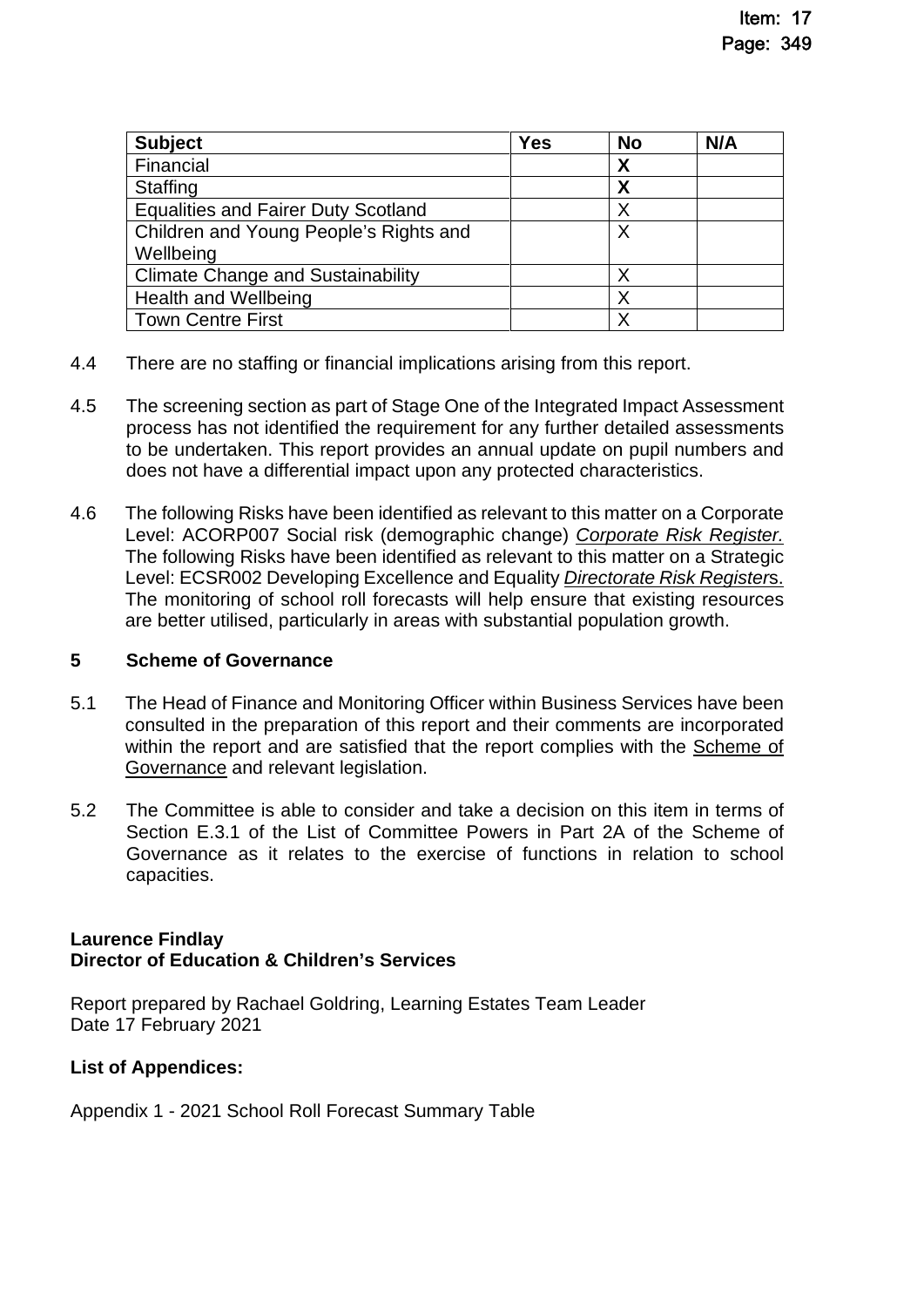| <b>Subject</b>                             | <b>Yes</b> | <b>No</b> | N/A |
|--------------------------------------------|------------|-----------|-----|
| Financial                                  |            | X         |     |
| <b>Staffing</b>                            |            | Χ         |     |
| <b>Equalities and Fairer Duty Scotland</b> |            | Χ         |     |
| Children and Young People's Rights and     |            | Χ         |     |
| Wellbeing                                  |            |           |     |
| <b>Climate Change and Sustainability</b>   |            | Χ         |     |
| <b>Health and Wellbeing</b>                |            | Χ         |     |
| <b>Town Centre First</b>                   |            | Χ         |     |

- 4.4 There are no staffing or financial implications arising from this report.
- 4.5 The screening section as part of Stage One of the Integrated Impact Assessment process has not identified the requirement for any further detailed assessments to be undertaken. This report provides an annual update on pupil numbers and does not have a differential impact upon any protected characteristics.
- 4.6 The following Risks have been identified as relevant to this matter on a Corporate Level: ACORP007 Social risk (demographic change) *[Corporate Risk Register.](https://www.aberdeenshire.gov.uk/media/26308/corporaterisks.pdf)*  The following Risks have been identified as relevant to this matter on a Strategic Level: ECSR002 Developing Excellence and Equality *[Directorate Risk Register](https://www.aberdeenshire.gov.uk/media/26330/ecsdirectoraterisksregister.pdf)*s. The monitoring of school roll forecasts will help ensure that existing resources are better utilised, particularly in areas with substantial population growth.

### **5 Scheme of Governance**

- 5.1 The Head of Finance and Monitoring Officer within Business Services have been consulted in the preparation of this report and their comments are incorporated within the report and are satisfied that the report complies with the Scheme of [Governance and relevant legislation.](https://www.aberdeenshire.gov.uk/council-and-democracy/scheme-of-governance/)
- 5.2 The Committee is able to consider and take a decision on this item in terms of Section E.3.1 of the List of Committee Powers in Part 2A of the Scheme of Governance as it relates to the exercise of functions in relation to school capacities.

### **Laurence Findlay Director of Education & Children's Services**

Report prepared by Rachael Goldring, Learning Estates Team Leader Date 17 February 2021

# **List of Appendices:**

Appendix 1 - 2021 School Roll Forecast Summary Table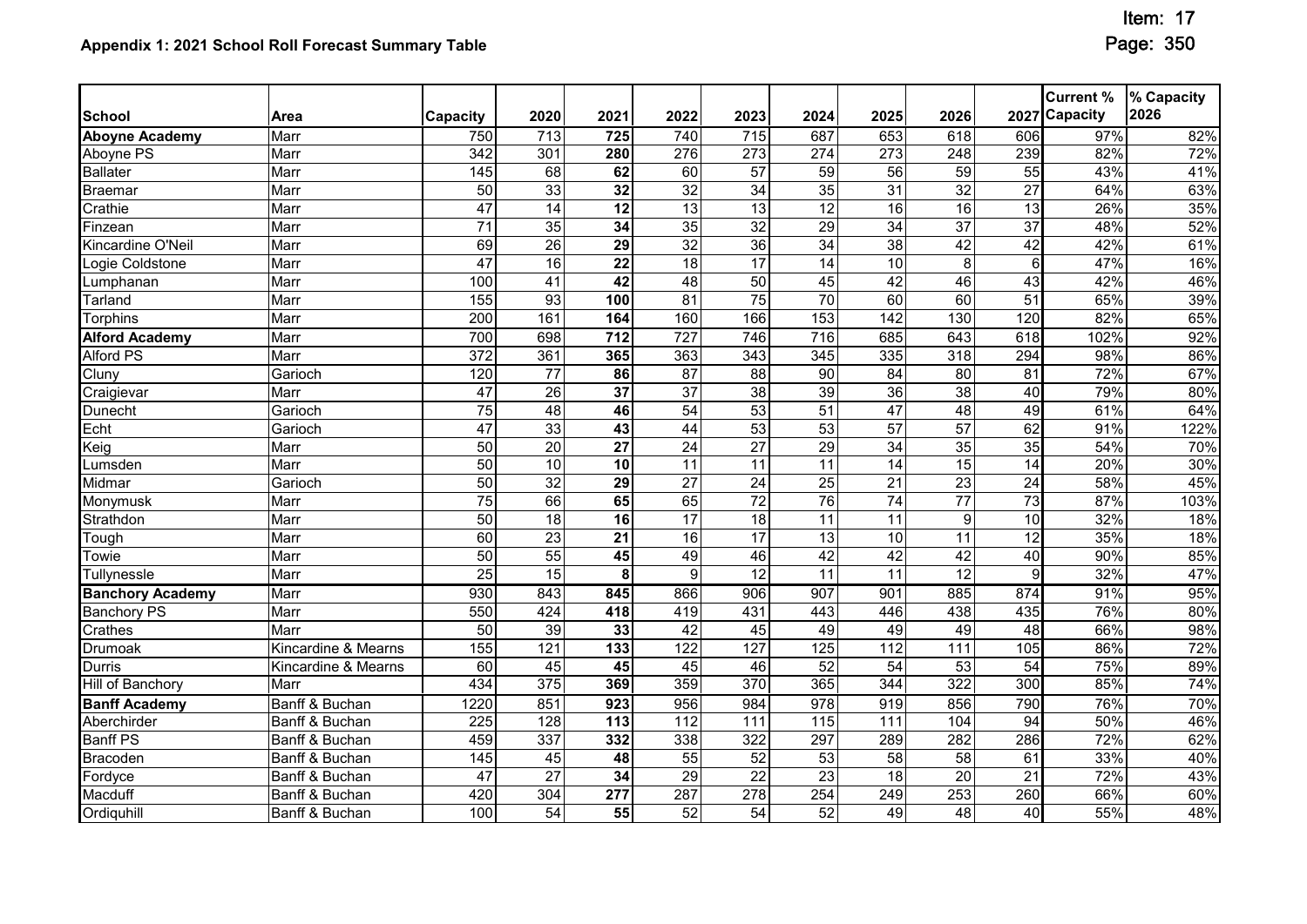|                         |                     |                  |                 |                  |                  |                  |                   |                  |                   |                 | <b>Current %</b> | % Capacity |
|-------------------------|---------------------|------------------|-----------------|------------------|------------------|------------------|-------------------|------------------|-------------------|-----------------|------------------|------------|
| <b>School</b>           | Area                | Capacity         | 2020            | 2021             | 2022             | 2023             | 2024              | 2025             | 2026              |                 | 2027 Capacity    | 2026       |
| <b>Aboyne Academy</b>   | Marr                | 750              | 713             | 725              | 740              | 715              | 687               | 653              | 618               | 606             | 97%              | 82%        |
| Aboyne PS               | Marr                | $\overline{342}$ | 301             | 280              | $\overline{276}$ | $\overline{273}$ | 274               | 273              | 248               | 239             | 82%              | 72%        |
| <b>Ballater</b>         | Marr                | 145              | 68              | 62               | $\overline{60}$  | $\overline{57}$  | $\overline{59}$   | $\overline{56}$  | 59                | $\overline{55}$ | 43%              | 41%        |
| Braemar                 | Marr                | 50               | 33              | 32               | 32               | $\overline{34}$  | 35                | $\overline{31}$  | 32                | $\overline{27}$ | 64%              | 63%        |
| Crathie                 | Marr                | 47               | 14              | $\overline{12}$  | 13               | 13               | 12                | 16               | 16                | 13              | 26%              | 35%        |
| Finzean                 | Marr                | 71               | 35              | 34               | 35               | 32               | 29                | $\overline{34}$  | $\overline{37}$   | $\overline{37}$ | 48%              | 52%        |
| Kincardine O'Neil       | Marr                | 69               | $\overline{26}$ | 29               | $\overline{32}$  | $\overline{36}$  | $\overline{34}$   | $\overline{38}$  | $\overline{42}$   | 42              | 42%              | 61%        |
| Logie Coldstone         | Marr                | 47               | $\overline{16}$ | $\overline{22}$  | 18               | 17               | $\overline{14}$   | $\overline{10}$  | 8                 | $6\phantom{1}$  | 47%              | 16%        |
| Lumphanan               | Marr                | 100              | $\overline{41}$ | $\overline{42}$  | 48               | 50               | 45                | 42               | 46                | $\overline{43}$ | 42%              | 46%        |
| Tarland                 | Marr                | 155              | 93              | 100              | $\overline{81}$  | 75               | 70                | 60               | 60                | 51              | 65%              | 39%        |
| <b>Torphins</b>         | Marr                | $\overline{200}$ | 161             | 164              | 160              | 166              | 153               | 142              | 130               | 120             | 82%              | 65%        |
| <b>Alford Academy</b>   | Marr                | 700              | 698             | $\overline{712}$ | 727              | 746              | $\overline{716}$  | 685              | 643               | 618             | 102%             | 92%        |
| <b>Alford PS</b>        | Marr                | 372              | 361             | 365              | 363              | 343              | 345               | 335              | $\overline{318}$  | 294             | 98%              | 86%        |
| Cluny                   | Garioch             | 120              | 77              | 86               | 87               | 88               | 90                | 84               | 80                | 81              | 72%              | 67%        |
| Craigievar              | Marr                | 47               | $\overline{26}$ | 37               | $\overline{37}$  | $\overline{38}$  | 39                | $\overline{36}$  | $\overline{38}$   | 40              | 79%              | 80%        |
| Dunecht                 | Garioch             | 75               | 48              | 46               | 54               | 53               | 51                | 47               | 48                | 49              | 61%              | 64%        |
| Echt                    | Garioch             | 47               | 33              | $\overline{43}$  | $\overline{44}$  | 53               | 53                | $\overline{57}$  | 57                | 62              | 91%              | 122%       |
| Keig                    | Marr                | 50               | $\overline{20}$ | $\overline{27}$  | $\overline{24}$  | $\overline{27}$  | 29                | $\overline{34}$  | 35                | $\overline{35}$ | 54%              | 70%        |
| Lumsden                 | Marr                | 50               | 10              | 10               | 11               | 11               | 11                | 14               | 15                | $\overline{14}$ | 20%              | 30%        |
| Midmar                  | Garioch             | 50               | $\overline{32}$ | 29               | $\overline{27}$  | $\overline{24}$  | $\overline{25}$   | $\overline{21}$  | 23                | $\overline{24}$ | 58%              | 45%        |
| Monymusk                | Marr                | 75               | 66              | 65               | 65               | $\overline{72}$  | 76                | 74               | $\overline{77}$   | 73              | 87%              | 103%       |
| Strathdon               | Marr                | 50               | $\overline{18}$ | $\overline{16}$  | 17               | 18               | $\overline{11}$   | $\overline{11}$  | $\overline{9}$    | 10              | 32%              | 18%        |
| Tough                   | Marr                | 60               | $\overline{23}$ | 21               | 16               | $\overline{17}$  | 13                | 10               | 11                | $\overline{12}$ | 35%              | 18%        |
| Towie                   | Marr                | 50               | 55              | 45               | 49               | 46               | 42                | 42               | 42                | 40              | 90%              | 85%        |
| <b>Tullynessle</b>      | Marr                | $\overline{25}$  | 15              | 8                | $\overline{9}$   | 12               | $\overline{11}$   | $\overline{11}$  | 12                | $\overline{9}$  | 32%              | 47%        |
| <b>Banchory Academy</b> | Marr                | 930              | 843             | 845              | 866              | 906              | 907               | 901              | 885               | 874             | 91%              | 95%        |
| <b>Banchory PS</b>      | Marr                | 550              | 424             | 418              | 419              | 431              | 443               | 446              | 438               | 435             | 76%              | 80%        |
| Crathes                 | Marr                | 50               | 39              | 33               | 42               | $\overline{45}$  | 49                | 49               | 49                | 48              | 66%              | 98%        |
| Drumoak                 | Kincardine & Mearns | $\overline{155}$ | 121             | 133              | 122              | 127              | 125               | $\overline{112}$ | $\frac{111}{111}$ | 105             | 86%              | 72%        |
| <b>Durris</b>           | Kincardine & Mearns | 60               | 45              | 45               | 45               | 46               | 52                | 54               | 53                | 54              | 75%              | 89%        |
| Hill of Banchory        | Marr                | 434              | 375             | 369              | 359              | 370              | 365               | 344              | 322               | 300             | 85%              | 74%        |
| <b>Banff Academy</b>    | Banff & Buchan      | 1220             | 851             | 923              | 956              | 984              | 978               | 919              | 856               | 790             | 76%              | 70%        |
| Aberchirder             | Banff & Buchan      | 225              | 128             | $\overline{113}$ | $\overline{112}$ | $\overline{111}$ | $\frac{115}{115}$ | $\frac{111}{11}$ | 104               | 94              | 50%              | 46%        |
| <b>Banff PS</b>         | Banff & Buchan      | 459              | 337             | 332              | 338              | 322              | 297               | 289              | 282               | 286             | 72%              | 62%        |
| Bracoden                | Banff & Buchan      | 145              | 45              | 48               | 55               | 52               | 53                | 58               | 58                | $\overline{61}$ | 33%              | 40%        |
| Fordyce                 | Banff & Buchan      | 47               | $\overline{27}$ | 34               | 29               | $\overline{22}$  | $\overline{23}$   | $\overline{18}$  | $\overline{20}$   | $\overline{21}$ | 72%              | 43%        |
| Macduff                 | Banff & Buchan      | 420              | 304             | 277              | 287              | 278              | 254               | 249              | 253               | 260             | 66%              | 60%        |
| Ordiquhill              | Banff & Buchan      | 100              | $\overline{54}$ | $\overline{55}$  | 52               | $\overline{54}$  | 52                | 49               | 48                | 40              | 55%              | 48%        |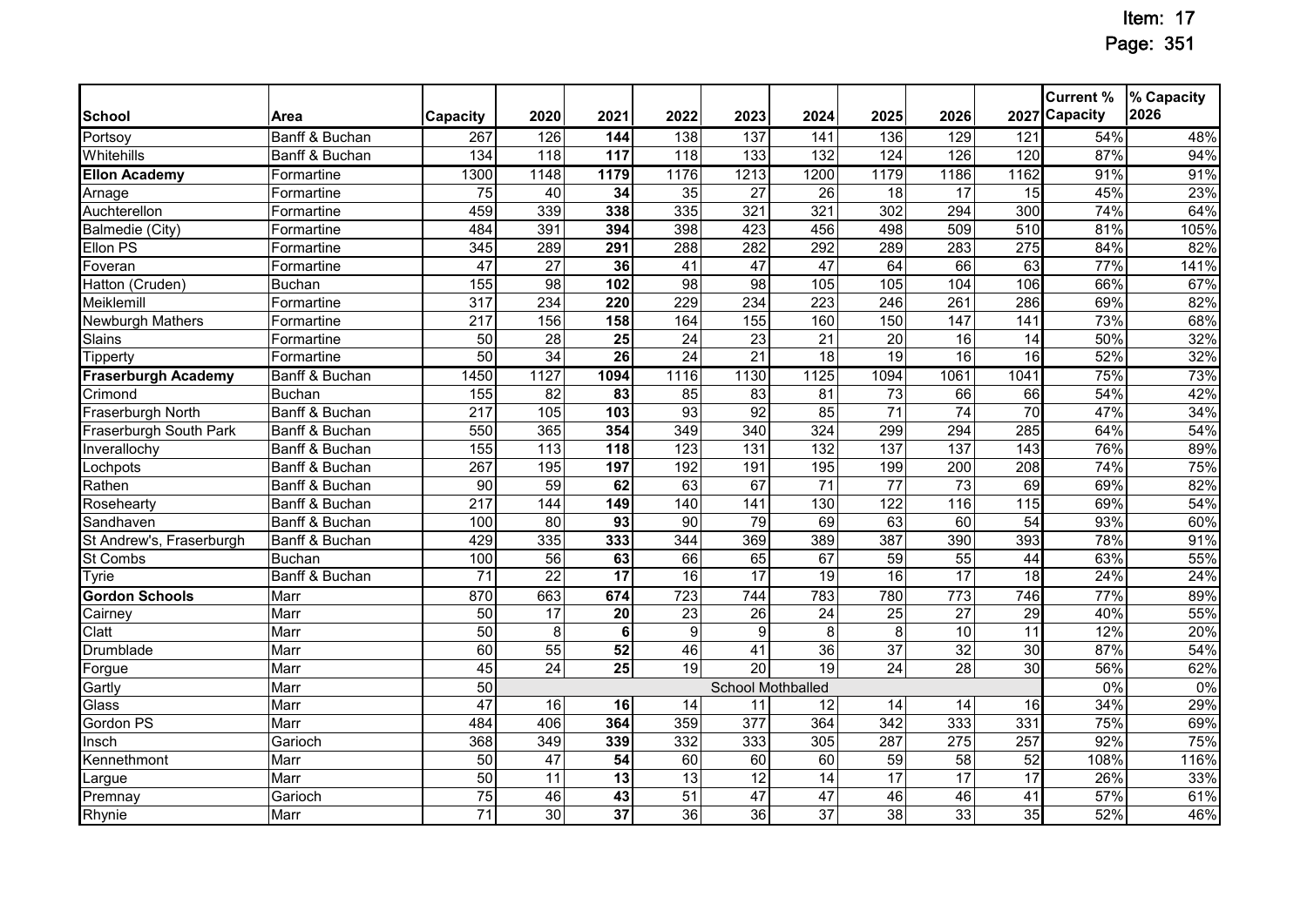|                            |                |                  |                  |                  |                  |                   |                 |                 |                  |                  | <b>Current %</b> | % Capacity |
|----------------------------|----------------|------------------|------------------|------------------|------------------|-------------------|-----------------|-----------------|------------------|------------------|------------------|------------|
| <b>School</b>              | Area           | <b>Capacity</b>  | 2020             | 2021             | 2022             | 2023              | 2024            | 2025            | 2026             |                  | 2027 Capacity    | 2026       |
| Portsoy                    | Banff & Buchan | 267              | 126              | 144              | 138              | 137               | 141             | 136             | 129              | 121              | 54%              | 48%        |
| Whitehills                 | Banff & Buchan | 134              | $\overline{118}$ | $\overline{117}$ | $\overline{118}$ | 133               | 132             | 124             | 126              | 120              | 87%              | 94%        |
| <b>Ellon Academy</b>       | Formartine     | 1300             | 1148             | 1179             | 1176             | 1213              | 1200            | 1179            | 1186             | 1162             | 91%              | 91%        |
| Arnage                     | Formartine     | 75               | 40               | 34               | 35               | 27                | 26              | 18              | 17               | 15               | 45%              | 23%        |
| Auchterellon               | Formartine     | 459              | 339              | 338              | 335              | 321               | 321             | 302             | 294              | $\overline{300}$ | 74%              | 64%        |
| <b>Balmedie (City)</b>     | Formartine     | 484              | 391              | 394              | 398              | 423               | 456             | 498             | 509              | $\overline{510}$ | 81%              | 105%       |
| Ellon PS                   | Formartine     | 345              | 289              | 291              | 288              | 282               | 292             | 289             | 283              | 275              | 84%              | 82%        |
| Foveran                    | Formartine     | 47               | $\overline{27}$  | 36               | $\overline{41}$  | $\overline{47}$   | $\overline{47}$ | 64              | 66               | 63               | 77%              | 141%       |
| Hatton (Cruden)            | <b>Buchan</b>  | 155              | $\overline{98}$  | 102              | 98               | 98                | 105             | 105             | 104              | 106              | 66%              | 67%        |
| Meiklemill                 | Formartine     | $\overline{317}$ | 234              | 220              | 229              | 234               | 223             | 246             | 261              | 286              | 69%              | 82%        |
| Newburgh Mathers           | Formartine     | $\overline{217}$ | 156              | 158              | 164              | 155               | 160             | 150             | 147              | 141              | 73%              | 68%        |
| Slains                     | Formartine     | 50               | 28               | 25               | $\overline{24}$  | 23                | 21              | 20              | 16               | 14               | 50%              | 32%        |
| <b>Tipperty</b>            | Formartine     | 50               | 34               | 26               | $\overline{24}$  | $\overline{21}$   | 18              | 19              | 16               | $\overline{16}$  | 52%              | 32%        |
| <b>Fraserburgh Academy</b> | Banff & Buchan | 1450             | 1127             | 1094             | 1116             | 1130              | 1125            | 1094            | 1061             | 1041             | 75%              | 73%        |
| Crimond                    | <b>Buchan</b>  | 155              | 82               | $\overline{83}$  | 85               | $\overline{83}$   | 81              | $\overline{73}$ | 66               | 66               | 54%              | 42%        |
| Fraserburgh North          | Banff & Buchan | $\overline{217}$ | 105              | 103              | 93               | 92                | 85              | $\overline{71}$ | 74               | 70               | 47%              | 34%        |
| Fraserburgh South Park     | Banff & Buchan | 550              | 365              | 354              | 349              | 340               | 324             | 299             | 294              | 285              | 64%              | 54%        |
| Inverallochy               | Banff & Buchan | 155              | 113              | 118              | 123              | 131               | 132             | 137             | 137              | 143              | 76%              | 89%        |
| Lochpots                   | Banff & Buchan | 267              | 195              | 197              | 192              | 191               | 195             | 199             | 200              | 208              | 74%              | 75%        |
| Rathen                     | Banff & Buchan | 90               | 59               | 62               | 63               | 67                | $\overline{71}$ | $\overline{77}$ | $\overline{73}$  | 69               | 69%              | 82%        |
| Rosehearty                 | Banff & Buchan | 217              | 144              | 149              | 140              | 141               | 130             | 122             | 116              | 115              | 69%              | 54%        |
| Sandhaven                  | Banff & Buchan | 100              | 80               | 93               | $\overline{90}$  | 79                | 69              | 63              | 60               | $\overline{54}$  | 93%              | 60%        |
| St Andrew's, Fraserburgh   | Banff & Buchan | 429              | 335              | 333              | 344              | 369               | 389             | 387             | 390              | 393              | 78%              | 91%        |
| St Combs                   | <b>Buchan</b>  | 100              | 56               | 63               | 66               | 65                | 67              | $\overline{59}$ | 55               | 44               | 63%              | 55%        |
| Tyrie                      | Banff & Buchan | $\overline{71}$  | $\overline{22}$  | $\overline{17}$  | 16               | 17                | 19              | $\overline{16}$ | 17               | $\overline{18}$  | 24%              | 24%        |
| <b>Gordon Schools</b>      | Marr           | 870              | 663              | 674              | 723              | 744               | 783             | 780             | $\overline{773}$ | 746              | 77%              | 89%        |
| Cairney                    | Marr           | 50               | 17               | 20               | $\overline{23}$  | 26                | 24              | 25              | 27               | 29               | 40%              | 55%        |
| Clatt                      | Marr           | $\overline{50}$  | 8                | 6                | $\boldsymbol{9}$ | 9                 | 8               | 8               | $\overline{10}$  | $\overline{11}$  | 12%              | 20%        |
| <b>Drumblade</b>           | Marr           | 60               | $\overline{55}$  | 52               | 46               | 41                | 36              | $\overline{37}$ | 32               | 30               | 87%              | 54%        |
| Forgue                     | Marr           | 45               | 24               | $\overline{25}$  | 19               | 20                | 19              | $\overline{24}$ | 28               | 30               | 56%              | 62%        |
| Gartly                     | Marr           | 50               |                  |                  |                  | School Mothballed |                 |                 |                  |                  | 0%               | 0%         |
| Glass                      | Marr           | 47               | 16               | 16               | 14               | 11                | 12              | 14              | 14               | 16               | 34%              | 29%        |
| Gordon PS                  | Marr           | 484              | 406              | 364              | 359              | 377               | 364             | 342             | 333              | 331              | 75%              | 69%        |
| Insch                      | Garioch        | 368              | 349              | 339              | 332              | 333               | 305             | 287             | 275              | 257              | 92%              | 75%        |
| Kennethmont                | Marr           | 50               | 47               | 54               | 60               | 60                | 60              | 59              | 58               | 52               | 108%             | 116%       |
| Largue                     | Marr           | 50               | 11               | $\overline{13}$  | $\overline{13}$  | $\overline{12}$   | 14              | $\overline{17}$ | $\overline{17}$  | 17               | 26%              | 33%        |
| Premnay                    | Garioch        | 75               | 46               | 43               | $\overline{51}$  | $\overline{47}$   | $\overline{47}$ | 46              | 46               | 41               | 57%              | 61%        |
| Rhynie                     | Marr           | $\overline{71}$  | 30               | $\overline{37}$  | 36               | 36                | $\overline{37}$ | 38              | 33               | 35               | 52%              | 46%        |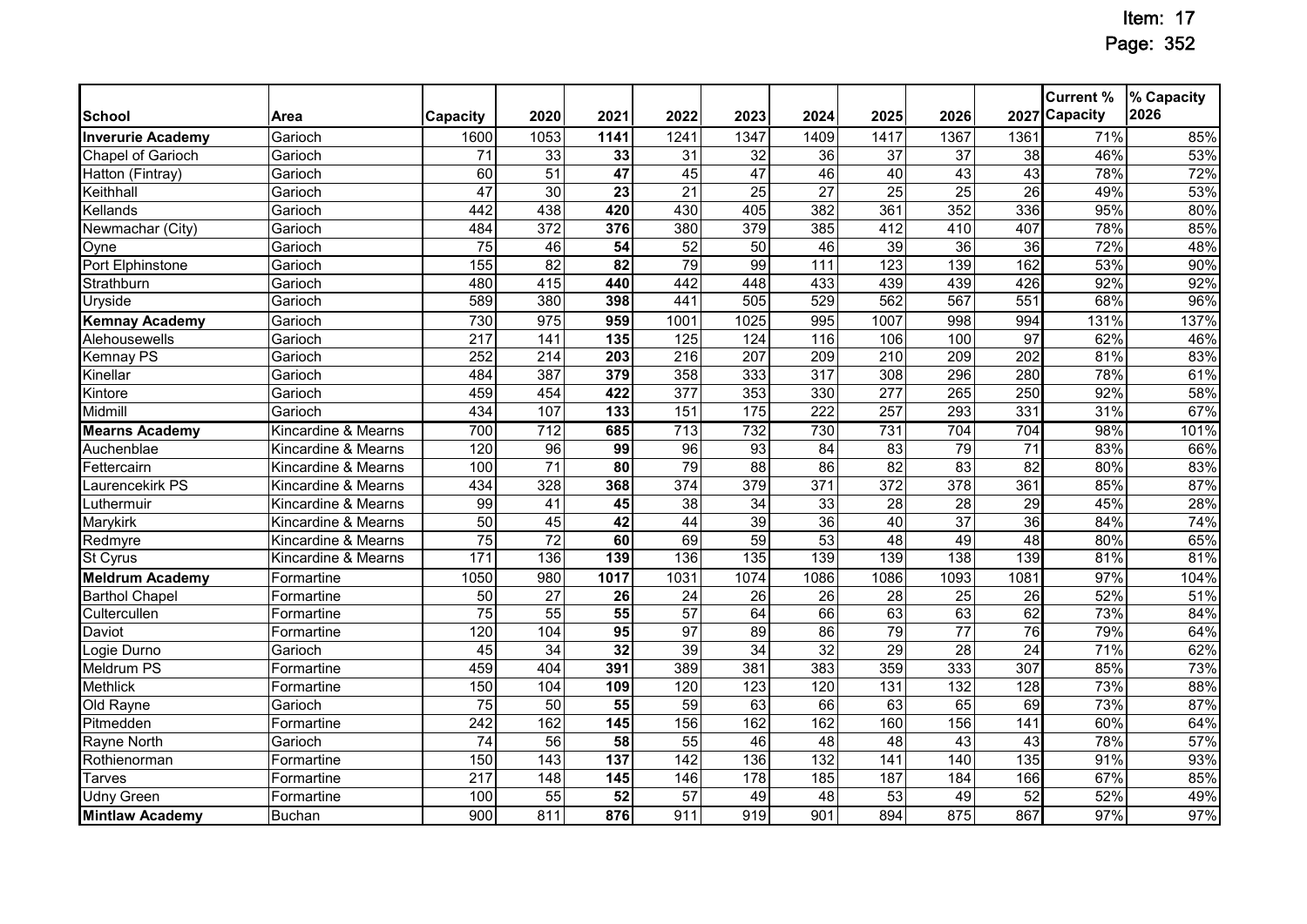|                          |                     |                  |                  |                  |                  |                  |                  |                  |                  |                 | <b>Current %</b> | % Capacity |
|--------------------------|---------------------|------------------|------------------|------------------|------------------|------------------|------------------|------------------|------------------|-----------------|------------------|------------|
| <b>School</b>            | Area                | Capacity         | 2020             | 2021             | 2022             | 2023             | 2024             | 2025             | 2026             |                 | 2027 Capacity    | 2026       |
| <b>Inverurie Academy</b> | Garioch             | 1600             | 1053             | 1141             | 1241             | 1347             | 1409             | 1417             | 1367             | 1361            | 71%              | 85%        |
| Chapel of Garioch        | Garioch             | 71               | 33               | 33               | 31               | 32               | 36               | 37               | 37               | $\overline{38}$ | 46%              | 53%        |
| Hatton (Fintray)         | Garioch             | 60               | 51               | 47               | 45               | 47               | 46               | 40               | 43               | 43              | 78%              | 72%        |
| Keithhall                | Garioch             | 47               | 30               | $\overline{23}$  | $\overline{21}$  | $\overline{25}$  | $\overline{27}$  | $\overline{25}$  | $\overline{25}$  | $\overline{26}$ | 49%              | 53%        |
| Kellands                 | Garioch             | 442              | 438              | 420              | 430              | 405              | 382              | 361              | 352              | 336             | 95%              | 80%        |
| Newmachar (City)         | Garioch             | 484              | $\overline{372}$ | 376              | 380              | 379              | 385              | 412              | 410              | 407             | 78%              | 85%        |
| Oyne                     | Garioch             | $\overline{75}$  | 46               | $\overline{54}$  | $\overline{52}$  | $\overline{50}$  | 46               | $\overline{39}$  | $\overline{36}$  | 36              | 72%              | 48%        |
| Port Elphinstone         | Garioch             | 155              | 82               | 82               | 79               | 99               | 111              | 123              | 139              | 162             | 53%              | 90%        |
| Strathburn               | Garioch             | 480              | 415              | 440              | 442              | 448              | 433              | 439              | 439              | 426             | 92%              | 92%        |
| Uryside                  | Garioch             | 589              | 380              | 398              | 441              | 505              | 529              | 562              | 567              | 551             | 68%              | 96%        |
| <b>Kemnay Academy</b>    | Garioch             | 730              | 975              | 959              | 1001             | 1025             | 995              | 1007             | 998              | 994             | 131%             | 137%       |
| Alehousewells            | Garioch             | 217              | 141              | 135              | 125              | 124              | 116              | 106              | 100              | $\overline{97}$ | 62%              | 46%        |
| Kemnay PS                | Garioch             | 252              | $\overline{214}$ | $\overline{203}$ | $\overline{216}$ | 207              | 209              | 210              | 209              | 202             | 81%              | 83%        |
| Kinellar                 | Garioch             | 484              | 387              | 379              | 358              | 333              | 317              | 308              | 296              | 280             | 78%              | 61%        |
| Kintore                  | Garioch             | 459              | 454              | 422              | $\overline{377}$ | 353              | 330              | 277              | 265              | 250             | 92%              | 58%        |
| Midmill                  | Garioch             | 434              | 107              | 133              | 151              | 175              | 222              | 257              | 293              | 331             | 31%              | 67%        |
| <b>Mearns Academy</b>    | Kincardine & Mearns | 700              | $\overline{712}$ | 685              | $\overline{713}$ | 732              | 730              | 731              | 704              | 704             | 98%              | 101%       |
| Auchenblae               | Kincardine & Mearns | 120              | 96               | 99               | 96               | 93               | $\overline{84}$  | $\overline{83}$  | 79               | $\overline{71}$ | 83%              | 66%        |
| Fettercairn              | Kincardine & Mearns | 100              | $\overline{71}$  | 80               | 79               | $\overline{88}$  | 86               | $\overline{82}$  | 83               | $\overline{82}$ | 80%              | 83%        |
| Laurencekirk PS          | Kincardine & Mearns | 434              | 328              | 368              | 374              | 379              | $\overline{371}$ | 372              | 378              | 361             | 85%              | 87%        |
| Luthermuir               | Kincardine & Mearns | 99               | 41               | 45               | $\overline{38}$  | $\overline{34}$  | 33               | $\overline{28}$  | $\overline{28}$  | $\overline{29}$ | 45%              | 28%        |
| Marykirk                 | Kincardine & Mearns | 50               | 45               | 42               | 44               | 39               | 36               | 40               | $\overline{37}$  | 36              | 84%              | 74%        |
| Redmyre                  | Kincardine & Mearns | 75               | 72               | 60               | 69               | 59               | 53               | 48               | 49               | 48              | 80%              | 65%        |
| St Cyrus                 | Kincardine & Mearns | $\overline{171}$ | 136              | 139              | 136              | $\overline{135}$ | 139              | 139              | 138              | 139             | 81%              | 81%        |
| <b>Meldrum Academy</b>   | Formartine          | 1050             | 980              | 1017             | 1031             | 1074             | 1086             | 1086             | 1093             | 1081            | 97%              | 104%       |
| <b>Barthol Chapel</b>    | Formartine          | 50               | $\overline{27}$  | 26               | 24               | 26               | 26               | 28               | 25               | 26              | 52%              | 51%        |
| Cultercullen             | Formartine          | 75               | 55               | 55               | $\overline{57}$  | 64               | 66               | 63               | 63               | 62              | 73%              | 84%        |
| Daviot                   | Formartine          | 120              | 104              | 95               | 97               | 89               | 86               | 79               | $\overline{77}$  | 76              | 79%              | 64%        |
| Logie Durno              | Garioch             | 45               | $\overline{34}$  | 32               | 39               | $\overline{34}$  | 32               | 29               | $\overline{28}$  | $\overline{24}$ | 71%              | 62%        |
| <b>Meldrum PS</b>        | Formartine          | 459              | 404              | 391              | 389              | 381              | 383              | 359              | 333              | 307             | 85%              | 73%        |
| Methlick                 | Formartine          | 150              | 104              | 109              | 120              | 123              | 120              | $\overline{131}$ | $\overline{132}$ | 128             | 73%              | 88%        |
| Old Rayne                | Garioch             | $\overline{75}$  | 50               | 55               | 59               | 63               | 66               | 63               | 65               | 69              | 73%              | 87%        |
| Pitmedden                | Formartine          | 242              | 162              | 145              | 156              | 162              | 162              | 160              | 156              | 141             | 60%              | 64%        |
| Rayne North              | Garioch             | $\overline{74}$  | 56               | $\overline{58}$  | 55               | 46               | 48               | $\overline{48}$  | $\overline{43}$  | $\overline{43}$ | 78%              | 57%        |
| Rothienorman             | Formartine          | 150              | 143              | 137              | 142              | 136              | 132              | 141              | 140              | 135             | 91%              | 93%        |
| Tarves                   | Formartine          | 217              | 148              | 145              | 146              | 178              | 185              | 187              | 184              | 166             | 67%              | 85%        |
| Udny Green               | Formartine          | 100              | $\overline{55}$  | $\overline{52}$  | 57               | 49               | $\overline{48}$  | $\overline{53}$  | 49               | $\overline{52}$ | 52%              | 49%        |
| <b>Mintlaw Academy</b>   | <b>Buchan</b>       | 900              | 811              | 876              | 911              | 919              | 901              | 894              | 875              | 867             | 97%              | 97%        |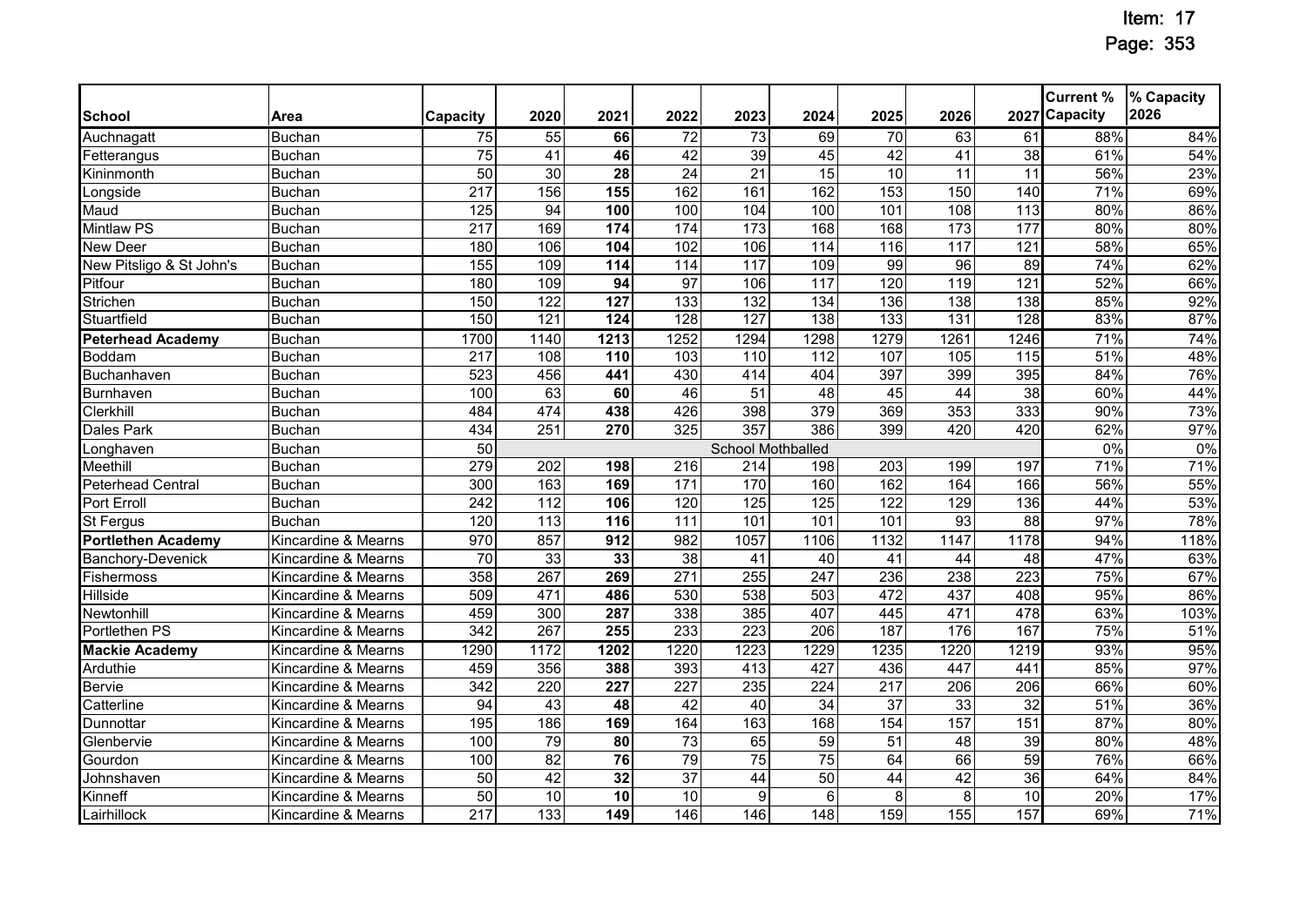|                           |                     |                  |                   |                   |                  |                   |                  |                  |                 |                   | <b>Current %</b> | % Capacity |
|---------------------------|---------------------|------------------|-------------------|-------------------|------------------|-------------------|------------------|------------------|-----------------|-------------------|------------------|------------|
| School                    | Area                | <b>Capacity</b>  | 2020              | 2021              | 2022             | 2023              | 2024             | 2025             | 2026            |                   | 2027 Capacity    | 2026       |
| Auchnagatt                | <b>Buchan</b>       | 75               | $\overline{55}$   | 66                | $\overline{72}$  | $\overline{73}$   | 69               | $\overline{70}$  | 63              | 61                | 88%              | 84%        |
| Fetterangus               | <b>Buchan</b>       | $\overline{75}$  | 41                | 46                | 42               | 39                | 45               | $\overline{42}$  | 41              | $\overline{38}$   | 61%              | 54%        |
| Kininmonth                | <b>Buchan</b>       | 50               | 30                | 28                | $\overline{24}$  | $\overline{21}$   | 15               | 10               | 11              | 11                | 56%              | 23%        |
| $L$ ongside               | <b>Buchan</b>       | $\overline{217}$ | 156               | 155               | 162              | 161               | 162              | 153              | 150             | 140               | 71%              | 69%        |
| Maud                      | <b>Buchan</b>       | 125              | 94                | 100               | 100              | 104               | 100              | 101              | 108             | 113               | 80%              | 86%        |
| <b>Mintlaw PS</b>         | <b>Buchan</b>       | 217              | 169               | 174               | 174              | $\overline{173}$  | 168              | 168              | 173             | 177               | 80%              | 80%        |
| New Deer                  | <b>Buchan</b>       | 180              | 106               | 104               | 102              | 106               | 114              | $\overline{116}$ | 117             | 121               | 58%              | 65%        |
| New Pitsligo & St John's  | <b>Buchan</b>       | 155              | 109               | 114               | 114              | 117               | 109              | 99               | 96              | 89                | 74%              | 62%        |
| Pitfour                   | <b>Buchan</b>       | 180              | 109               | 94                | $\overline{97}$  | 106               | 117              | 120              | 119             | 121               | 52%              | 66%        |
| Strichen                  | <b>Buchan</b>       | 150              | 122               | $\overline{127}$  | 133              | 132               | 134              | 136              | 138             | 138               | 85%              | 92%        |
| Stuartfield               | <b>Buchan</b>       | 150              | 121               | 124               | 128              | 127               | 138              | 133              | 131             | 128               | 83%              | 87%        |
| <b>Peterhead Academy</b>  | <b>Buchan</b>       | 1700             | 1140              | $\overline{1213}$ | 1252             | 1294              | 1298             | 1279             | 1261            | 1246              | 71%              | 74%        |
| Boddam                    | <b>Buchan</b>       | $\overline{217}$ | 108               | 110               | 103              | 110               | 112              | 107              | 105             | $\frac{115}{115}$ | 51%              | 48%        |
| Buchanhaven               | <b>Buchan</b>       | 523              | 456               | 441               | 430              | 414               | 404              | 397              | 399             | 395               | 84%              | 76%        |
| <b>Burnhaven</b>          | <b>Buchan</b>       | 100              | 63                | 60                | 46               | 51                | 48               | 45               | 44              | $\overline{38}$   | 60%              | 44%        |
| Clerkhill                 | <b>Buchan</b>       | 484              | 474               | 438               | 426              | 398               | 379              | 369              | 353             | 333               | 90%              | 73%        |
| Dales Park                | <b>Buchan</b>       | 434              | $\overline{251}$  | 270               | 325              | 357               | 386              | 399              | 420             | 420               | 62%              | 97%        |
| Longhaven                 | <b>Buchan</b>       | 50               |                   |                   |                  | School Mothballed |                  |                  |                 |                   | $0\%$            | 0%         |
| Meethill                  | <b>Buchan</b>       | 279              | 202               | 198               | $\overline{216}$ | $\overline{214}$  | 198              | 203              | 199             | 197               | 71%              | 71%        |
| Peterhead Central         | <b>Buchan</b>       | 300              | 163               | 169               | $\overline{171}$ | 170               | 160              | 162              | 164             | 166               | 56%              | 55%        |
| <b>Port Erroll</b>        | <b>Buchan</b>       | 242              | $\frac{1}{12}$    | 106               | 120              | 125               | 125              | 122              | 129             | 136               | 44%              | 53%        |
| <b>St Fergus</b>          | <b>Buchan</b>       | 120              | $\frac{113}{113}$ | $\frac{116}{116}$ | $\frac{111}{11}$ | 101               | 101              | 101              | 93              | $\overline{88}$   | 97%              | 78%        |
| <b>Portlethen Academy</b> | Kincardine & Mearns | 970              | 857               | 912               | 982              | 1057              | 1106             | 1132             | 1147            | 1178              | 94%              | 118%       |
| <b>Banchory-Devenick</b>  | Kincardine & Mearns | 70               | 33                | 33                | 38               | 41                | $\overline{40}$  | 41               | 44              | 48                | 47%              | 63%        |
| Fishermoss                | Kincardine & Mearns | 358              | 267               | 269               | $\overline{271}$ | 255               | 247              | 236              | 238             | 223               | 75%              | 67%        |
| <b>Hillside</b>           | Kincardine & Mearns | 509              | 471               | 486               | 530              | 538               | 503              | 472              | 437             | 408               | 95%              | 86%        |
| Newtonhill                | Kincardine & Mearns | 459              | 300               | 287               | 338              | 385               | 407              | 445              | 471             | 478               | 63%              | 103%       |
| <b>Portlethen PS</b>      | Kincardine & Mearns | 342              | 267               | 255               | 233              | 223               | 206              | 187              | 176             | 167               | 75%              | 51%        |
| <b>Mackie Academy</b>     | Kincardine & Mearns | 1290             | 1172              | 1202              | 1220             | 1223              | 1229             | 1235             | 1220            | 1219              | 93%              | 95%        |
| Arduthie                  | Kincardine & Mearns | 459              | 356               | 388               | 393              | 413               | 427              | 436              | 447             | 441               | 85%              | 97%        |
| Bervie                    | Kincardine & Mearns | 342              | 220               | 227               | 227              | 235               | 224              | 217              | 206             | 206               | 66%              | 60%        |
| Catterline                | Kincardine & Mearns | 94               | 43                | 48                | 42               | 40                | 34               | 37               | 33              | 32                | 51%              | 36%        |
| Dunnottar                 | Kincardine & Mearns | 195              | 186               | 169               | 164              | 163               | 168              | 154              | 157             | 151               | 87%              | 80%        |
| Glenbervie                | Kincardine & Mearns | 100              | 79                | 80                | $\overline{73}$  | 65                | $\overline{59}$  | $\overline{51}$  | $\overline{48}$ | 39                | 80%              | 48%        |
| Gourdon                   | Kincardine & Mearns | 100              | $\overline{82}$   | 76                | 79               | $\overline{75}$   | $\overline{75}$  | 64               | 66              | 59                | 76%              | 66%        |
| Johnshaven                | Kincardine & Mearns | 50               | 42                | 32                | $\overline{37}$  | 44                | 50               | 44               | $\overline{42}$ | 36                | 64%              | 84%        |
| Kinneff                   | Kincardine & Mearns | 50               | 10                | 10                | 10               | 9                 | 6                | 8                | 8               | 10                | 20%              | 17%        |
| Lairhillock               | Kincardine & Mearns | 217              | 133               | 149               | 146              | 146               | $\overline{148}$ | 159              | 155             | 157               | 69%              | 71%        |